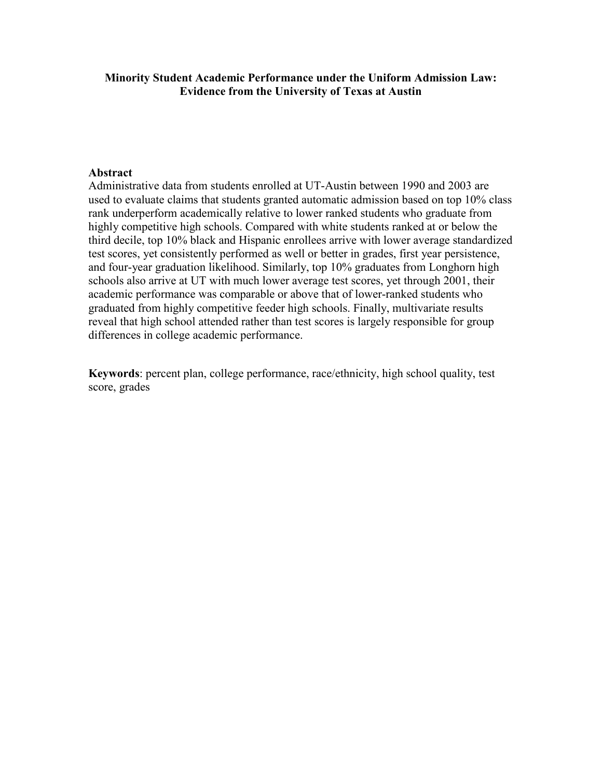# Minority Student Academic Performance under the Uniform Admission Law: Evidence from the University of Texas at Austin

# Abstract

Administrative data from students enrolled at UT-Austin between 1990 and 2003 are used to evaluate claims that students granted automatic admission based on top 10% class rank underperform academically relative to lower ranked students who graduate from highly competitive high schools. Compared with white students ranked at or below the third decile, top 10% black and Hispanic enrollees arrive with lower average standardized test scores, yet consistently performed as well or better in grades, first year persistence, and four-year graduation likelihood. Similarly, top 10% graduates from Longhorn high schools also arrive at UT with much lower average test scores, yet through 2001, their academic performance was comparable or above that of lower-ranked students who graduated from highly competitive feeder high schools. Finally, multivariate results reveal that high school attended rather than test scores is largely responsible for group differences in college academic performance.

Keywords: percent plan, college performance, race/ethnicity, high school quality, test score, grades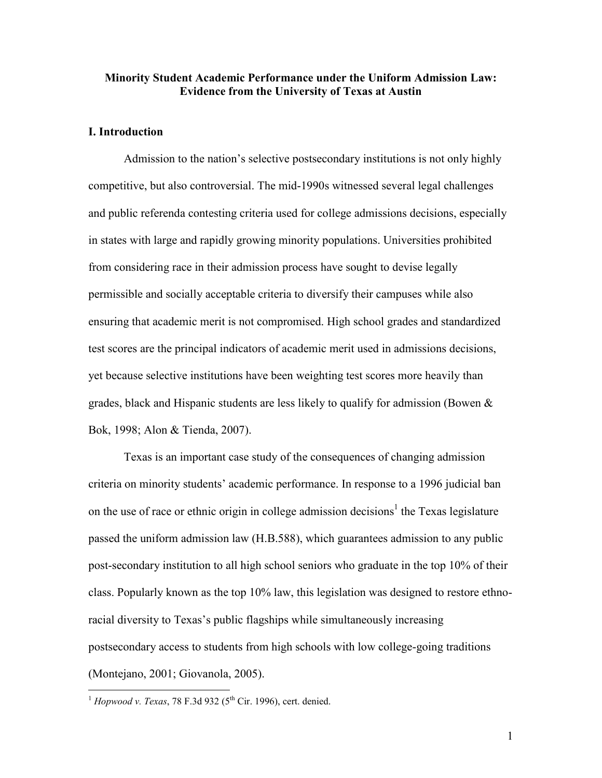## Minority Student Academic Performance under the Uniform Admission Law: Evidence from the University of Texas at Austin

#### I. Introduction

Admission to the nation's selective postsecondary institutions is not only highly competitive, but also controversial. The mid-1990s witnessed several legal challenges and public referenda contesting criteria used for college admissions decisions, especially in states with large and rapidly growing minority populations. Universities prohibited from considering race in their admission process have sought to devise legally permissible and socially acceptable criteria to diversify their campuses while also ensuring that academic merit is not compromised. High school grades and standardized test scores are the principal indicators of academic merit used in admissions decisions, yet because selective institutions have been weighting test scores more heavily than grades, black and Hispanic students are less likely to qualify for admission (Bowen  $\&$ Bok, 1998; Alon & Tienda, 2007).

Texas is an important case study of the consequences of changing admission criteria on minority students' academic performance. In response to a 1996 judicial ban on the use of race or ethnic origin in college admission decisions<sup>1</sup> the Texas legislature passed the uniform admission law (H.B.588), which guarantees admission to any public post-secondary institution to all high school seniors who graduate in the top 10% of their class. Popularly known as the top 10% law, this legislation was designed to restore ethnoracial diversity to Texas's public flagships while simultaneously increasing postsecondary access to students from high schools with low college-going traditions (Montejano, 2001; Giovanola, 2005).

 $\overline{a}$ 

 $1$  Hopwood v. Texas, 78 F.3d 932 (5<sup>th</sup> Cir. 1996), cert. denied.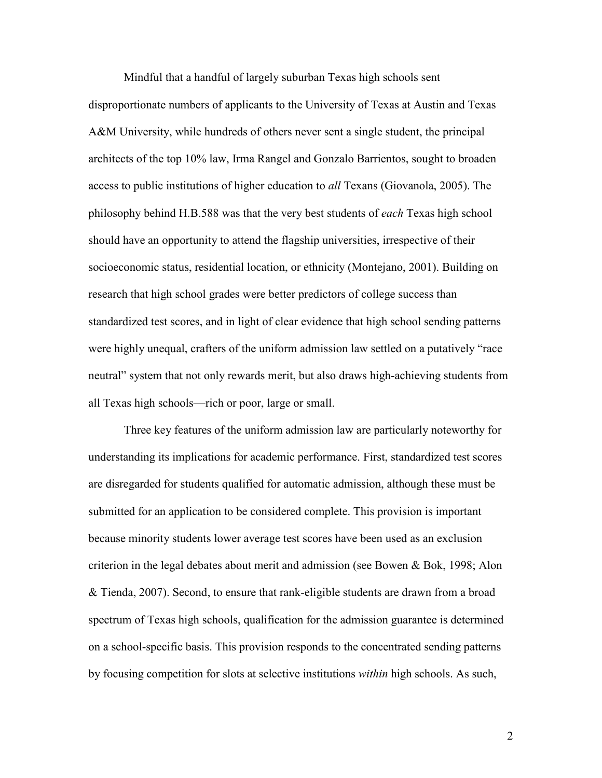Mindful that a handful of largely suburban Texas high schools sent disproportionate numbers of applicants to the University of Texas at Austin and Texas A&M University, while hundreds of others never sent a single student, the principal architects of the top 10% law, Irma Rangel and Gonzalo Barrientos, sought to broaden access to public institutions of higher education to all Texans (Giovanola, 2005). The philosophy behind H.B.588 was that the very best students of each Texas high school should have an opportunity to attend the flagship universities, irrespective of their socioeconomic status, residential location, or ethnicity (Montejano, 2001). Building on research that high school grades were better predictors of college success than standardized test scores, and in light of clear evidence that high school sending patterns were highly unequal, crafters of the uniform admission law settled on a putatively "race neutral" system that not only rewards merit, but also draws high-achieving students from all Texas high schools—rich or poor, large or small.

Three key features of the uniform admission law are particularly noteworthy for understanding its implications for academic performance. First, standardized test scores are disregarded for students qualified for automatic admission, although these must be submitted for an application to be considered complete. This provision is important because minority students lower average test scores have been used as an exclusion criterion in the legal debates about merit and admission (see Bowen & Bok, 1998; Alon & Tienda, 2007). Second, to ensure that rank-eligible students are drawn from a broad spectrum of Texas high schools, qualification for the admission guarantee is determined on a school-specific basis. This provision responds to the concentrated sending patterns by focusing competition for slots at selective institutions *within* high schools. As such,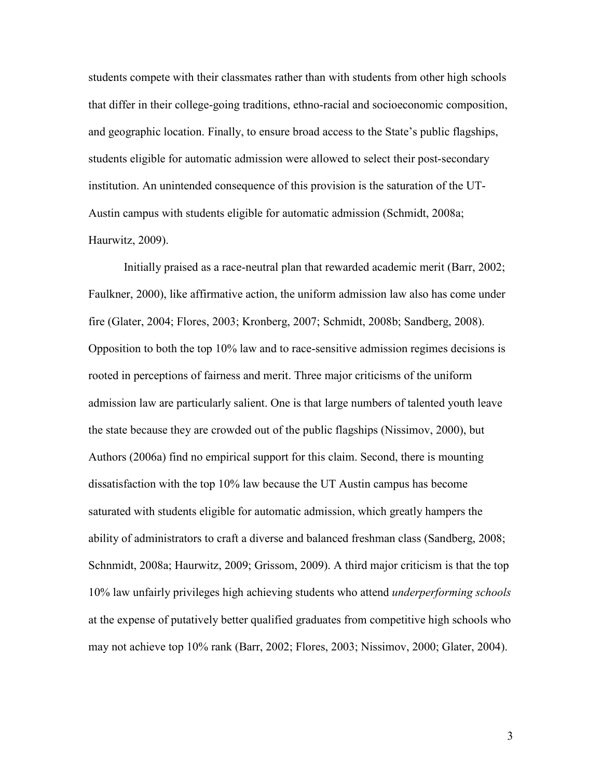students compete with their classmates rather than with students from other high schools that differ in their college-going traditions, ethno-racial and socioeconomic composition, and geographic location. Finally, to ensure broad access to the State's public flagships, students eligible for automatic admission were allowed to select their post-secondary institution. An unintended consequence of this provision is the saturation of the UT-Austin campus with students eligible for automatic admission (Schmidt, 2008a; Haurwitz, 2009).

Initially praised as a race-neutral plan that rewarded academic merit (Barr, 2002; Faulkner, 2000), like affirmative action, the uniform admission law also has come under fire (Glater, 2004; Flores, 2003; Kronberg, 2007; Schmidt, 2008b; Sandberg, 2008). Opposition to both the top 10% law and to race-sensitive admission regimes decisions is rooted in perceptions of fairness and merit. Three major criticisms of the uniform admission law are particularly salient. One is that large numbers of talented youth leave the state because they are crowded out of the public flagships (Nissimov, 2000), but Authors (2006a) find no empirical support for this claim. Second, there is mounting dissatisfaction with the top 10% law because the UT Austin campus has become saturated with students eligible for automatic admission, which greatly hampers the ability of administrators to craft a diverse and balanced freshman class (Sandberg, 2008; Schnmidt, 2008a; Haurwitz, 2009; Grissom, 2009). A third major criticism is that the top 10% law unfairly privileges high achieving students who attend underperforming schools at the expense of putatively better qualified graduates from competitive high schools who may not achieve top 10% rank (Barr, 2002; Flores, 2003; Nissimov, 2000; Glater, 2004).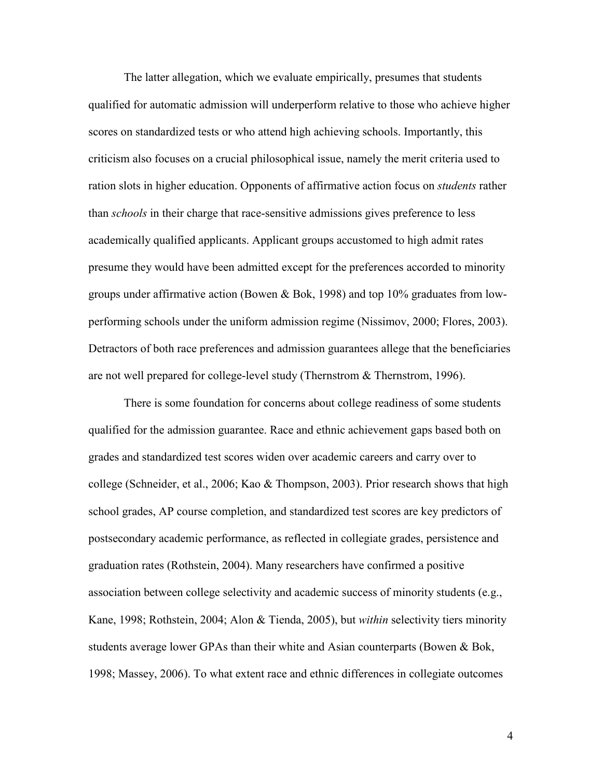The latter allegation, which we evaluate empirically, presumes that students qualified for automatic admission will underperform relative to those who achieve higher scores on standardized tests or who attend high achieving schools. Importantly, this criticism also focuses on a crucial philosophical issue, namely the merit criteria used to ration slots in higher education. Opponents of affirmative action focus on *students* rather than schools in their charge that race-sensitive admissions gives preference to less academically qualified applicants. Applicant groups accustomed to high admit rates presume they would have been admitted except for the preferences accorded to minority groups under affirmative action (Bowen & Bok, 1998) and top 10% graduates from lowperforming schools under the uniform admission regime (Nissimov, 2000; Flores, 2003). Detractors of both race preferences and admission guarantees allege that the beneficiaries are not well prepared for college-level study (Thernstrom & Thernstrom, 1996).

There is some foundation for concerns about college readiness of some students qualified for the admission guarantee. Race and ethnic achievement gaps based both on grades and standardized test scores widen over academic careers and carry over to college (Schneider, et al., 2006; Kao & Thompson, 2003). Prior research shows that high school grades, AP course completion, and standardized test scores are key predictors of postsecondary academic performance, as reflected in collegiate grades, persistence and graduation rates (Rothstein, 2004). Many researchers have confirmed a positive association between college selectivity and academic success of minority students (e.g., Kane, 1998; Rothstein, 2004; Alon & Tienda, 2005), but *within* selectivity tiers minority students average lower GPAs than their white and Asian counterparts (Bowen & Bok, 1998; Massey, 2006). To what extent race and ethnic differences in collegiate outcomes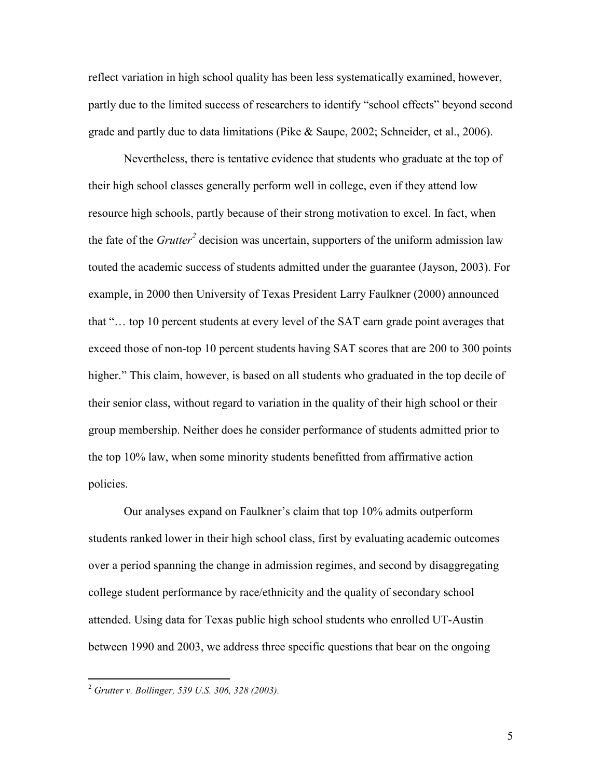reflect variation in high school quality has been less systematically examined, however, partly due to the limited success of researchers to identify "school effects" beyond second grade and partly due to data limitations (Pike & Saupe, 2002; Schneider, et al., 2006).

Nevertheless, there is tentative evidence that students who graduate at the top of their high school classes generally perform well in college, even if they attend low resource high schools, partly because of their strong motivation to excel. In fact, when the fate of the  $G\textit{rutter}^2$  decision was uncertain, supporters of the uniform admission law touted the academic success of students admitted under the guarantee (Jayson, 2003). For example, in 2000 then University of Texas President Larry Faulkner (2000) announced that "… top 10 percent students at every level of the SAT earn grade point averages that exceed those of non-top 10 percent students having SAT scores that are 200 to 300 points higher." This claim, however, is based on all students who graduated in the top decile of their senior class, without regard to variation in the quality of their high school or their group membership. Neither does he consider performance of students admitted prior to the top 10% law, when some minority students benefitted from affirmative action policies.

Our analyses expand on Faulkner's claim that top 10% admits outperform students ranked lower in their high school class, first by evaluating academic outcomes over a period spanning the change in admission regimes, and second by disaggregating college student performance by race/ethnicity and the quality of secondary school attended. Using data for Texas public high school students who enrolled UT-Austin between 1990 and 2003, we address three specific questions that bear on the ongoing

<u>.</u>

 $^{2}$  Grutter v. Bollinger, 539 U.S. 306, 328 (2003).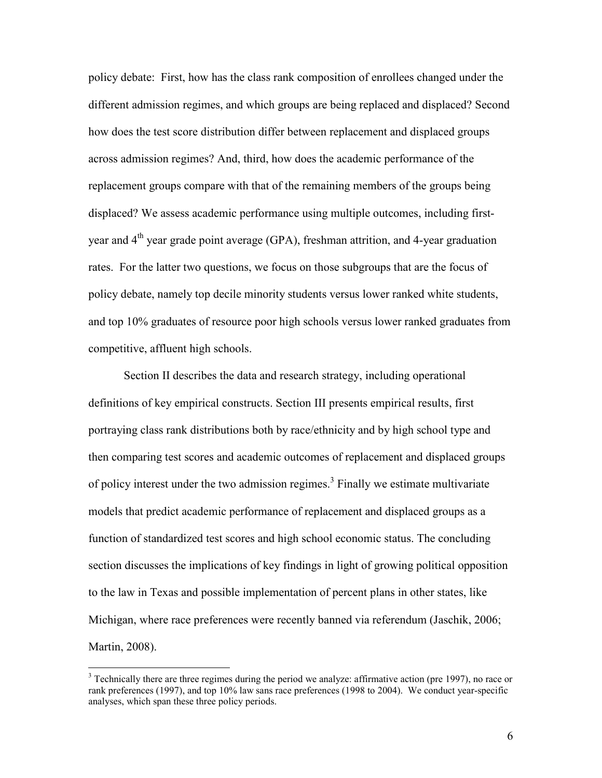policy debate: First, how has the class rank composition of enrollees changed under the different admission regimes, and which groups are being replaced and displaced? Second how does the test score distribution differ between replacement and displaced groups across admission regimes? And, third, how does the academic performance of the replacement groups compare with that of the remaining members of the groups being displaced? We assess academic performance using multiple outcomes, including firstyear and 4<sup>th</sup> year grade point average (GPA), freshman attrition, and 4-year graduation rates. For the latter two questions, we focus on those subgroups that are the focus of policy debate, namely top decile minority students versus lower ranked white students, and top 10% graduates of resource poor high schools versus lower ranked graduates from competitive, affluent high schools.

Section II describes the data and research strategy, including operational definitions of key empirical constructs. Section III presents empirical results, first portraying class rank distributions both by race/ethnicity and by high school type and then comparing test scores and academic outcomes of replacement and displaced groups of policy interest under the two admission regimes.<sup>3</sup> Finally we estimate multivariate models that predict academic performance of replacement and displaced groups as a function of standardized test scores and high school economic status. The concluding section discusses the implications of key findings in light of growing political opposition to the law in Texas and possible implementation of percent plans in other states, like Michigan, where race preferences were recently banned via referendum (Jaschik, 2006; Martin, 2008).

 $\overline{a}$ 

<sup>&</sup>lt;sup>3</sup> Technically there are three regimes during the period we analyze: affirmative action (pre 1997), no race or rank preferences (1997), and top 10% law sans race preferences (1998 to 2004). We conduct year-specific analyses, which span these three policy periods.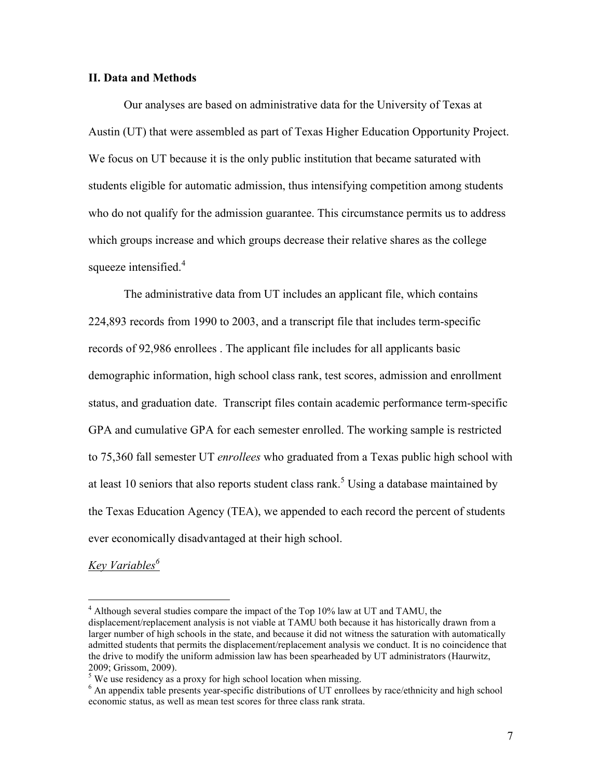#### II. Data and Methods

Our analyses are based on administrative data for the University of Texas at Austin (UT) that were assembled as part of Texas Higher Education Opportunity Project. We focus on UT because it is the only public institution that became saturated with students eligible for automatic admission, thus intensifying competition among students who do not qualify for the admission guarantee. This circumstance permits us to address which groups increase and which groups decrease their relative shares as the college squeeze intensified.<sup>4</sup>

The administrative data from UT includes an applicant file, which contains 224,893 records from 1990 to 2003, and a transcript file that includes term-specific records of 92,986 enrollees . The applicant file includes for all applicants basic demographic information, high school class rank, test scores, admission and enrollment status, and graduation date. Transcript files contain academic performance term-specific GPA and cumulative GPA for each semester enrolled. The working sample is restricted to 75,360 fall semester UT enrollees who graduated from a Texas public high school with at least 10 seniors that also reports student class rank.<sup>5</sup> Using a database maintained by the Texas Education Agency (TEA), we appended to each record the percent of students ever economically disadvantaged at their high school.

Key Variables<sup>6</sup>

 $\overline{a}$ 

<sup>&</sup>lt;sup>4</sup> Although several studies compare the impact of the Top 10% law at UT and TAMU, the displacement/replacement analysis is not viable at TAMU both because it has historically drawn from a larger number of high schools in the state, and because it did not witness the saturation with automatically admitted students that permits the displacement/replacement analysis we conduct. It is no coincidence that the drive to modify the uniform admission law has been spearheaded by UT administrators (Haurwitz, 2009; Grissom, 2009).

 $<sup>5</sup>$  We use residency as a proxy for high school location when missing.</sup>

<sup>&</sup>lt;sup>6</sup> An appendix table presents year-specific distributions of UT enrollees by race/ethnicity and high school economic status, as well as mean test scores for three class rank strata.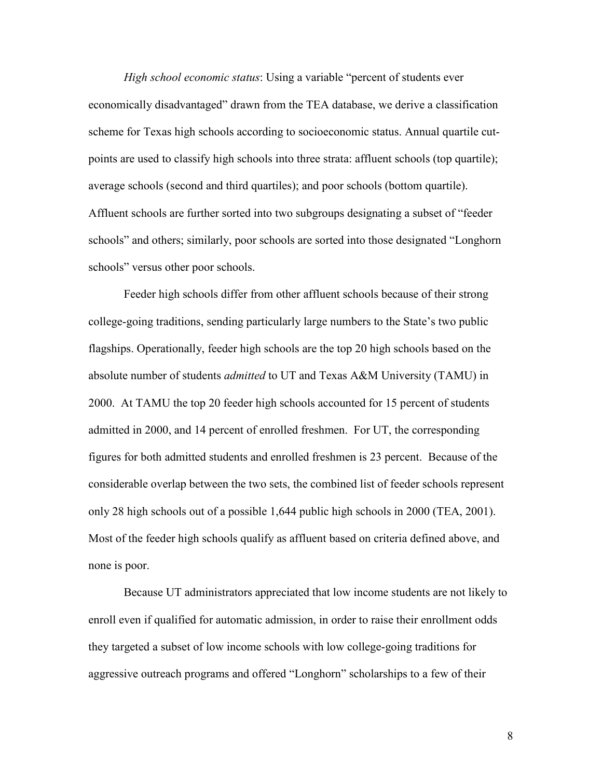High school economic status: Using a variable "percent of students ever economically disadvantaged" drawn from the TEA database, we derive a classification scheme for Texas high schools according to socioeconomic status. Annual quartile cutpoints are used to classify high schools into three strata: affluent schools (top quartile); average schools (second and third quartiles); and poor schools (bottom quartile). Affluent schools are further sorted into two subgroups designating a subset of "feeder schools" and others; similarly, poor schools are sorted into those designated "Longhorn schools" versus other poor schools.

Feeder high schools differ from other affluent schools because of their strong college-going traditions, sending particularly large numbers to the State's two public flagships. Operationally, feeder high schools are the top 20 high schools based on the absolute number of students *admitted* to UT and Texas A&M University (TAMU) in 2000. At TAMU the top 20 feeder high schools accounted for 15 percent of students admitted in 2000, and 14 percent of enrolled freshmen. For UT, the corresponding figures for both admitted students and enrolled freshmen is 23 percent. Because of the considerable overlap between the two sets, the combined list of feeder schools represent only 28 high schools out of a possible 1,644 public high schools in 2000 (TEA, 2001). Most of the feeder high schools qualify as affluent based on criteria defined above, and none is poor.

Because UT administrators appreciated that low income students are not likely to enroll even if qualified for automatic admission, in order to raise their enrollment odds they targeted a subset of low income schools with low college-going traditions for aggressive outreach programs and offered "Longhorn" scholarships to a few of their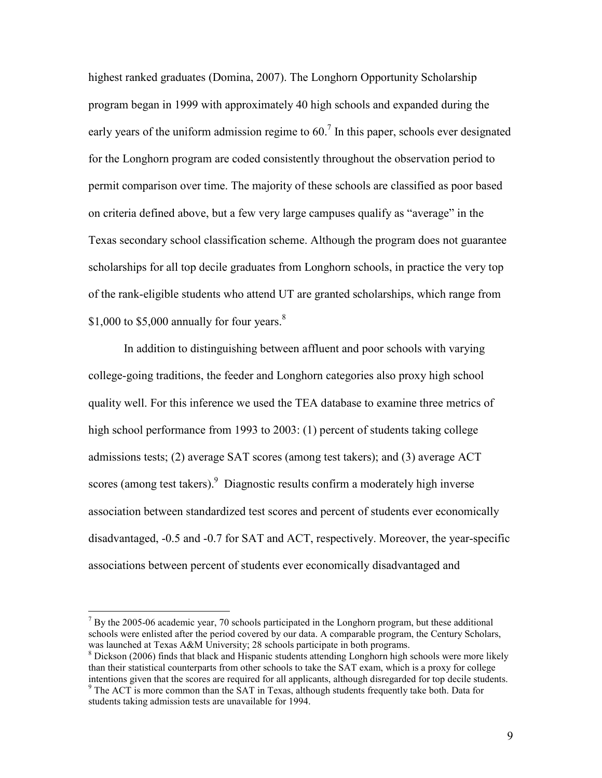highest ranked graduates (Domina, 2007). The Longhorn Opportunity Scholarship program began in 1999 with approximately 40 high schools and expanded during the early years of the uniform admission regime to  $60<sup>7</sup>$  In this paper, schools ever designated for the Longhorn program are coded consistently throughout the observation period to permit comparison over time. The majority of these schools are classified as poor based on criteria defined above, but a few very large campuses qualify as "average" in the Texas secondary school classification scheme. Although the program does not guarantee scholarships for all top decile graduates from Longhorn schools, in practice the very top of the rank-eligible students who attend UT are granted scholarships, which range from \$1,000 to \$5,000 annually for four years. $8$ 

In addition to distinguishing between affluent and poor schools with varying college-going traditions, the feeder and Longhorn categories also proxy high school quality well. For this inference we used the TEA database to examine three metrics of high school performance from 1993 to 2003: (1) percent of students taking college admissions tests; (2) average SAT scores (among test takers); and (3) average ACT scores (among test takers).<sup>9</sup> Diagnostic results confirm a moderately high inverse association between standardized test scores and percent of students ever economically disadvantaged, -0.5 and -0.7 for SAT and ACT, respectively. Moreover, the year-specific associations between percent of students ever economically disadvantaged and

 $\overline{a}$ 

 $<sup>7</sup>$  By the 2005-06 academic year, 70 schools participated in the Longhorn program, but these additional</sup> schools were enlisted after the period covered by our data. A comparable program, the Century Scholars, was launched at Texas A&M University; 28 schools participate in both programs.

 $8$  Dickson (2006) finds that black and Hispanic students attending Longhorn high schools were more likely than their statistical counterparts from other schools to take the SAT exam, which is a proxy for college intentions given that the scores are required for all applicants, although disregarded for top decile students.

<sup>&</sup>lt;sup>9</sup> The ACT is more common than the SAT in Texas, although students frequently take both. Data for students taking admission tests are unavailable for 1994.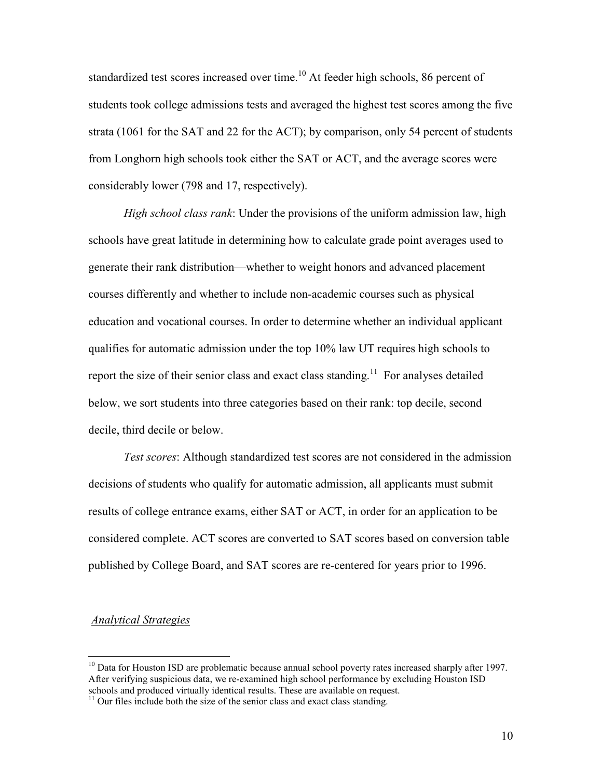standardized test scores increased over time.<sup>10</sup> At feeder high schools, 86 percent of students took college admissions tests and averaged the highest test scores among the five strata (1061 for the SAT and 22 for the ACT); by comparison, only 54 percent of students from Longhorn high schools took either the SAT or ACT, and the average scores were considerably lower (798 and 17, respectively).

High school class rank: Under the provisions of the uniform admission law, high schools have great latitude in determining how to calculate grade point averages used to generate their rank distribution—whether to weight honors and advanced placement courses differently and whether to include non-academic courses such as physical education and vocational courses. In order to determine whether an individual applicant qualifies for automatic admission under the top 10% law UT requires high schools to report the size of their senior class and exact class standing.<sup>11</sup> For analyses detailed below, we sort students into three categories based on their rank: top decile, second decile, third decile or below.

 Test scores: Although standardized test scores are not considered in the admission decisions of students who qualify for automatic admission, all applicants must submit results of college entrance exams, either SAT or ACT, in order for an application to be considered complete. ACT scores are converted to SAT scores based on conversion table published by College Board, and SAT scores are re-centered for years prior to 1996.

#### Analytical Strategies

 $\overline{a}$ 

 $10$  Data for Houston ISD are problematic because annual school poverty rates increased sharply after 1997. After verifying suspicious data, we re-examined high school performance by excluding Houston ISD schools and produced virtually identical results. These are available on request.

 $11$  Our files include both the size of the senior class and exact class standing.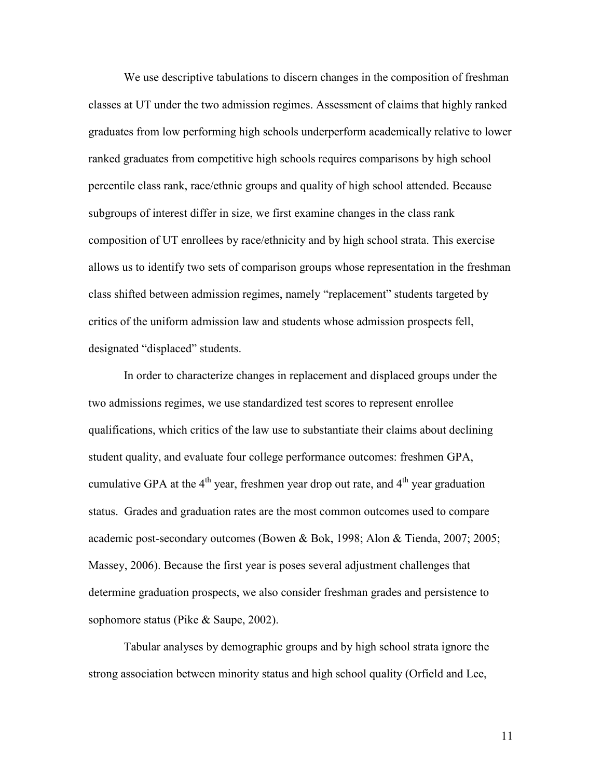We use descriptive tabulations to discern changes in the composition of freshman classes at UT under the two admission regimes. Assessment of claims that highly ranked graduates from low performing high schools underperform academically relative to lower ranked graduates from competitive high schools requires comparisons by high school percentile class rank, race/ethnic groups and quality of high school attended. Because subgroups of interest differ in size, we first examine changes in the class rank composition of UT enrollees by race/ethnicity and by high school strata. This exercise allows us to identify two sets of comparison groups whose representation in the freshman class shifted between admission regimes, namely "replacement" students targeted by critics of the uniform admission law and students whose admission prospects fell, designated "displaced" students.

In order to characterize changes in replacement and displaced groups under the two admissions regimes, we use standardized test scores to represent enrollee qualifications, which critics of the law use to substantiate their claims about declining student quality, and evaluate four college performance outcomes: freshmen GPA, cumulative GPA at the  $4<sup>th</sup>$  year, freshmen year drop out rate, and  $4<sup>th</sup>$  year graduation status. Grades and graduation rates are the most common outcomes used to compare academic post-secondary outcomes (Bowen & Bok, 1998; Alon & Tienda, 2007; 2005; Massey, 2006). Because the first year is poses several adjustment challenges that determine graduation prospects, we also consider freshman grades and persistence to sophomore status (Pike & Saupe, 2002).

Tabular analyses by demographic groups and by high school strata ignore the strong association between minority status and high school quality (Orfield and Lee,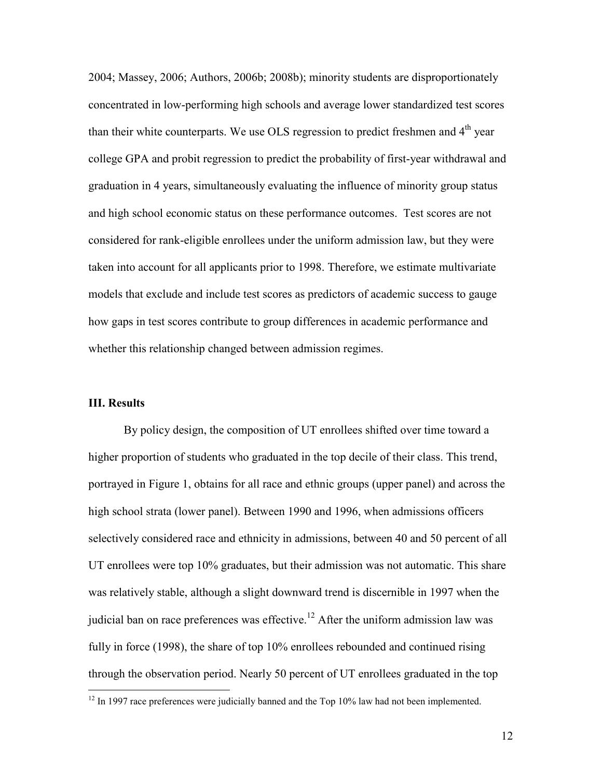2004; Massey, 2006; Authors, 2006b; 2008b); minority students are disproportionately concentrated in low-performing high schools and average lower standardized test scores than their white counterparts. We use OLS regression to predict freshmen and  $4<sup>th</sup>$  vear college GPA and probit regression to predict the probability of first-year withdrawal and graduation in 4 years, simultaneously evaluating the influence of minority group status and high school economic status on these performance outcomes. Test scores are not considered for rank-eligible enrollees under the uniform admission law, but they were taken into account for all applicants prior to 1998. Therefore, we estimate multivariate models that exclude and include test scores as predictors of academic success to gauge how gaps in test scores contribute to group differences in academic performance and whether this relationship changed between admission regimes.

#### III. Results

 $\overline{a}$ 

By policy design, the composition of UT enrollees shifted over time toward a higher proportion of students who graduated in the top decile of their class. This trend, portrayed in Figure 1, obtains for all race and ethnic groups (upper panel) and across the high school strata (lower panel). Between 1990 and 1996, when admissions officers selectively considered race and ethnicity in admissions, between 40 and 50 percent of all UT enrollees were top 10% graduates, but their admission was not automatic. This share was relatively stable, although a slight downward trend is discernible in 1997 when the judicial ban on race preferences was effective.<sup>12</sup> After the uniform admission law was fully in force (1998), the share of top 10% enrollees rebounded and continued rising through the observation period. Nearly 50 percent of UT enrollees graduated in the top

 $12$  In 1997 race preferences were judicially banned and the Top 10% law had not been implemented.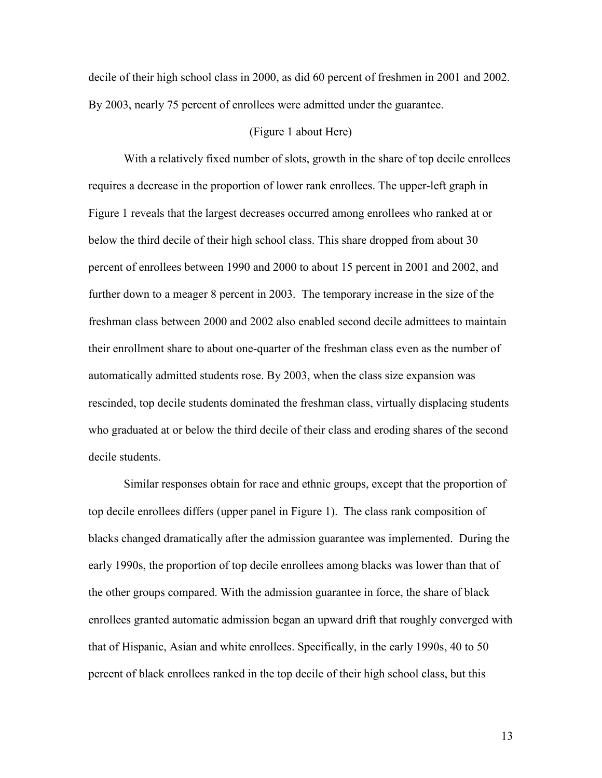decile of their high school class in 2000, as did 60 percent of freshmen in 2001 and 2002. By 2003, nearly 75 percent of enrollees were admitted under the guarantee.

#### (Figure 1 about Here)

With a relatively fixed number of slots, growth in the share of top decile enrollees requires a decrease in the proportion of lower rank enrollees. The upper-left graph in Figure 1 reveals that the largest decreases occurred among enrollees who ranked at or below the third decile of their high school class. This share dropped from about 30 percent of enrollees between 1990 and 2000 to about 15 percent in 2001 and 2002, and further down to a meager 8 percent in 2003. The temporary increase in the size of the freshman class between 2000 and 2002 also enabled second decile admittees to maintain their enrollment share to about one-quarter of the freshman class even as the number of automatically admitted students rose. By 2003, when the class size expansion was rescinded, top decile students dominated the freshman class, virtually displacing students who graduated at or below the third decile of their class and eroding shares of the second decile students.

Similar responses obtain for race and ethnic groups, except that the proportion of top decile enrollees differs (upper panel in Figure 1). The class rank composition of blacks changed dramatically after the admission guarantee was implemented. During the early 1990s, the proportion of top decile enrollees among blacks was lower than that of the other groups compared. With the admission guarantee in force, the share of black enrollees granted automatic admission began an upward drift that roughly converged with that of Hispanic, Asian and white enrollees. Specifically, in the early 1990s, 40 to 50 percent of black enrollees ranked in the top decile of their high school class, but this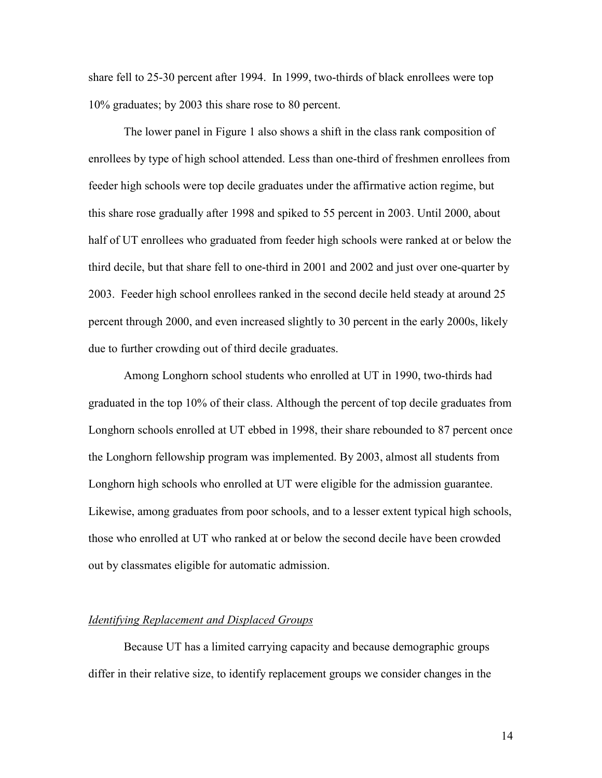share fell to 25-30 percent after 1994. In 1999, two-thirds of black enrollees were top 10% graduates; by 2003 this share rose to 80 percent.

The lower panel in Figure 1 also shows a shift in the class rank composition of enrollees by type of high school attended. Less than one-third of freshmen enrollees from feeder high schools were top decile graduates under the affirmative action regime, but this share rose gradually after 1998 and spiked to 55 percent in 2003. Until 2000, about half of UT enrollees who graduated from feeder high schools were ranked at or below the third decile, but that share fell to one-third in 2001 and 2002 and just over one-quarter by 2003. Feeder high school enrollees ranked in the second decile held steady at around 25 percent through 2000, and even increased slightly to 30 percent in the early 2000s, likely due to further crowding out of third decile graduates.

Among Longhorn school students who enrolled at UT in 1990, two-thirds had graduated in the top 10% of their class. Although the percent of top decile graduates from Longhorn schools enrolled at UT ebbed in 1998, their share rebounded to 87 percent once the Longhorn fellowship program was implemented. By 2003, almost all students from Longhorn high schools who enrolled at UT were eligible for the admission guarantee. Likewise, among graduates from poor schools, and to a lesser extent typical high schools, those who enrolled at UT who ranked at or below the second decile have been crowded out by classmates eligible for automatic admission.

#### Identifying Replacement and Displaced Groups

Because UT has a limited carrying capacity and because demographic groups differ in their relative size, to identify replacement groups we consider changes in the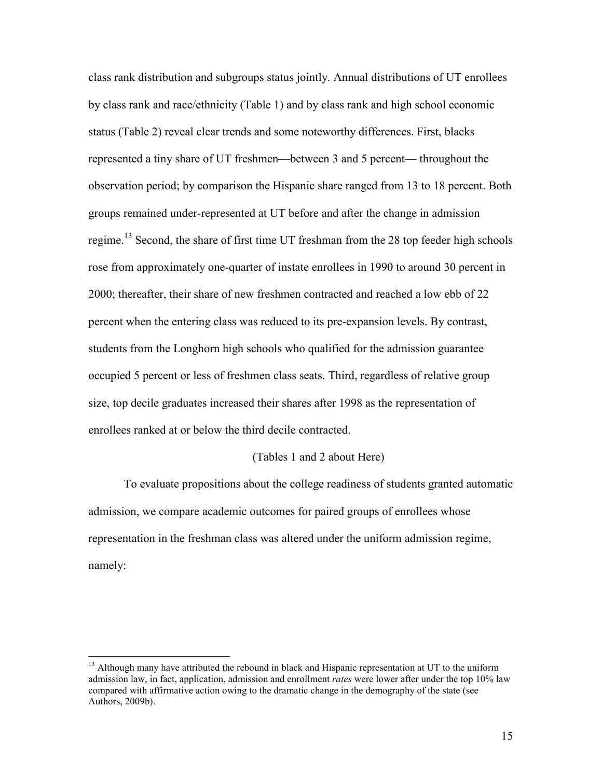class rank distribution and subgroups status jointly. Annual distributions of UT enrollees by class rank and race/ethnicity (Table 1) and by class rank and high school economic status (Table 2) reveal clear trends and some noteworthy differences. First, blacks represented a tiny share of UT freshmen—between 3 and 5 percent— throughout the observation period; by comparison the Hispanic share ranged from 13 to 18 percent. Both groups remained under-represented at UT before and after the change in admission regime.<sup>13</sup> Second, the share of first time UT freshman from the 28 top feeder high schools rose from approximately one-quarter of instate enrollees in 1990 to around 30 percent in 2000; thereafter, their share of new freshmen contracted and reached a low ebb of 22 percent when the entering class was reduced to its pre-expansion levels. By contrast, students from the Longhorn high schools who qualified for the admission guarantee occupied 5 percent or less of freshmen class seats. Third, regardless of relative group size, top decile graduates increased their shares after 1998 as the representation of enrollees ranked at or below the third decile contracted.

#### (Tables 1 and 2 about Here)

To evaluate propositions about the college readiness of students granted automatic admission, we compare academic outcomes for paired groups of enrollees whose representation in the freshman class was altered under the uniform admission regime, namely:

 $\overline{a}$ 

<sup>&</sup>lt;sup>13</sup> Although many have attributed the rebound in black and Hispanic representation at UT to the uniform admission law, in fact, application, admission and enrollment *rates* were lower after under the top 10% law compared with affirmative action owing to the dramatic change in the demography of the state (see Authors, 2009b).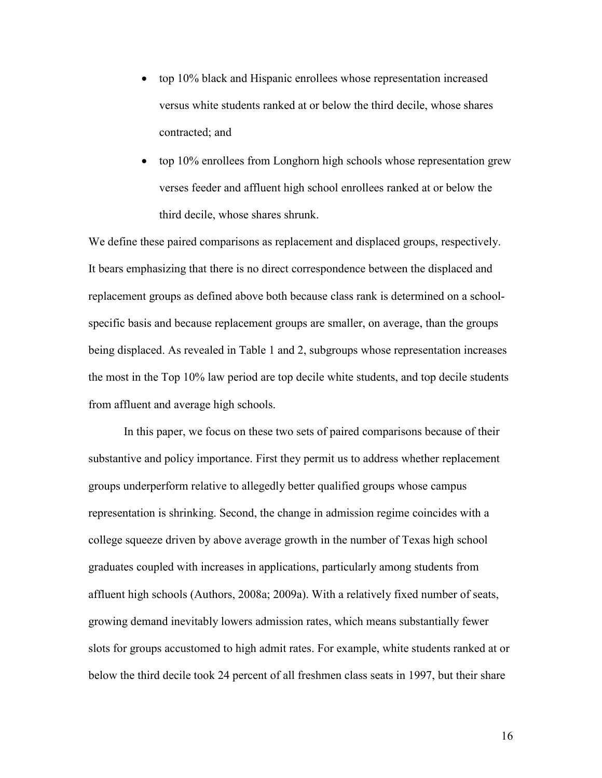- top 10% black and Hispanic enrollees whose representation increased versus white students ranked at or below the third decile, whose shares contracted; and
- top 10% enrollees from Longhorn high schools whose representation grew verses feeder and affluent high school enrollees ranked at or below the third decile, whose shares shrunk.

We define these paired comparisons as replacement and displaced groups, respectively. It bears emphasizing that there is no direct correspondence between the displaced and replacement groups as defined above both because class rank is determined on a schoolspecific basis and because replacement groups are smaller, on average, than the groups being displaced. As revealed in Table 1 and 2, subgroups whose representation increases the most in the Top 10% law period are top decile white students, and top decile students from affluent and average high schools.

 In this paper, we focus on these two sets of paired comparisons because of their substantive and policy importance. First they permit us to address whether replacement groups underperform relative to allegedly better qualified groups whose campus representation is shrinking. Second, the change in admission regime coincides with a college squeeze driven by above average growth in the number of Texas high school graduates coupled with increases in applications, particularly among students from affluent high schools (Authors, 2008a; 2009a). With a relatively fixed number of seats, growing demand inevitably lowers admission rates, which means substantially fewer slots for groups accustomed to high admit rates. For example, white students ranked at or below the third decile took 24 percent of all freshmen class seats in 1997, but their share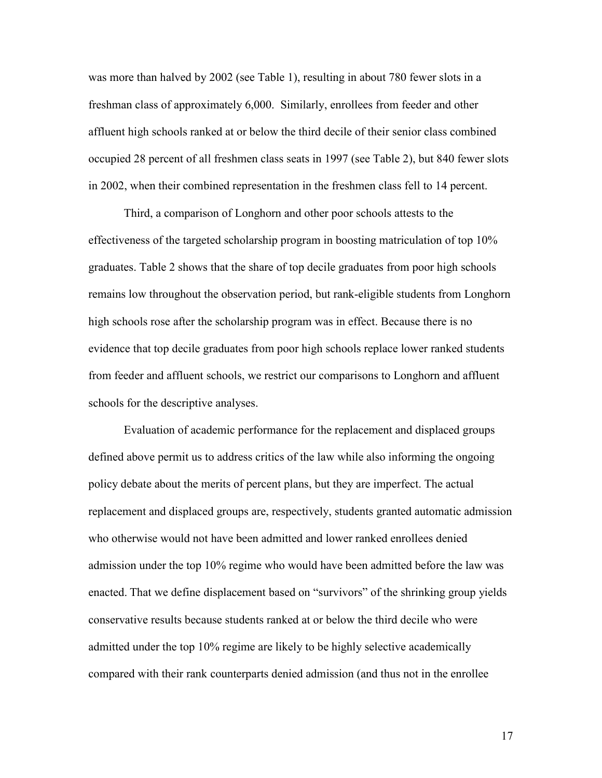was more than halved by 2002 (see Table 1), resulting in about 780 fewer slots in a freshman class of approximately 6,000. Similarly, enrollees from feeder and other affluent high schools ranked at or below the third decile of their senior class combined occupied 28 percent of all freshmen class seats in 1997 (see Table 2), but 840 fewer slots in 2002, when their combined representation in the freshmen class fell to 14 percent.

Third, a comparison of Longhorn and other poor schools attests to the effectiveness of the targeted scholarship program in boosting matriculation of top 10% graduates. Table 2 shows that the share of top decile graduates from poor high schools remains low throughout the observation period, but rank-eligible students from Longhorn high schools rose after the scholarship program was in effect. Because there is no evidence that top decile graduates from poor high schools replace lower ranked students from feeder and affluent schools, we restrict our comparisons to Longhorn and affluent schools for the descriptive analyses.

Evaluation of academic performance for the replacement and displaced groups defined above permit us to address critics of the law while also informing the ongoing policy debate about the merits of percent plans, but they are imperfect. The actual replacement and displaced groups are, respectively, students granted automatic admission who otherwise would not have been admitted and lower ranked enrollees denied admission under the top 10% regime who would have been admitted before the law was enacted. That we define displacement based on "survivors" of the shrinking group yields conservative results because students ranked at or below the third decile who were admitted under the top 10% regime are likely to be highly selective academically compared with their rank counterparts denied admission (and thus not in the enrollee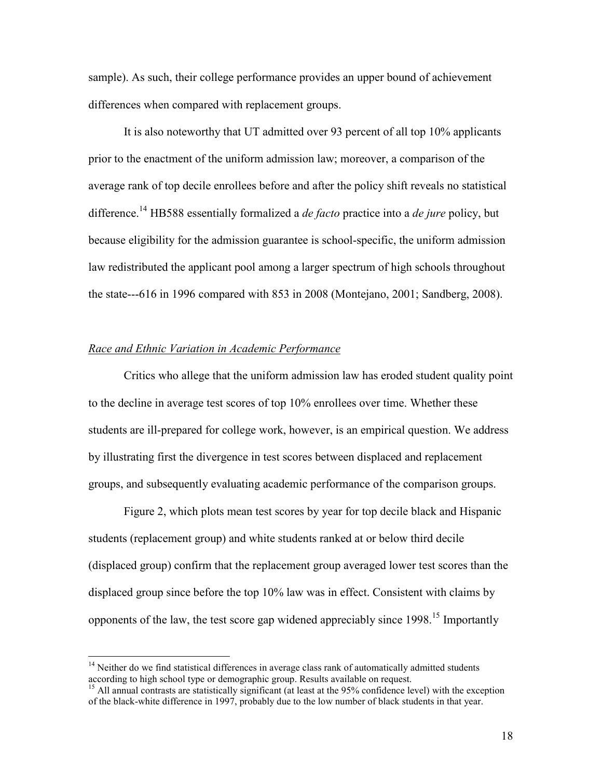sample). As such, their college performance provides an upper bound of achievement differences when compared with replacement groups.

It is also noteworthy that UT admitted over 93 percent of all top 10% applicants prior to the enactment of the uniform admission law; moreover, a comparison of the average rank of top decile enrollees before and after the policy shift reveals no statistical difference.<sup>14</sup> HB588 essentially formalized a *de facto* practice into a *de jure* policy, but because eligibility for the admission guarantee is school-specific, the uniform admission law redistributed the applicant pool among a larger spectrum of high schools throughout the state---616 in 1996 compared with 853 in 2008 (Montejano, 2001; Sandberg, 2008).

## Race and Ethnic Variation in Academic Performance

 $\overline{a}$ 

Critics who allege that the uniform admission law has eroded student quality point to the decline in average test scores of top 10% enrollees over time. Whether these students are ill-prepared for college work, however, is an empirical question. We address by illustrating first the divergence in test scores between displaced and replacement groups, and subsequently evaluating academic performance of the comparison groups.

Figure 2, which plots mean test scores by year for top decile black and Hispanic students (replacement group) and white students ranked at or below third decile (displaced group) confirm that the replacement group averaged lower test scores than the displaced group since before the top 10% law was in effect. Consistent with claims by opponents of the law, the test score gap widened appreciably since 1998.<sup>15</sup> Importantly

<sup>&</sup>lt;sup>14</sup> Neither do we find statistical differences in average class rank of automatically admitted students according to high school type or demographic group. Results available on request.

<sup>&</sup>lt;sup>15</sup> All annual contrasts are statistically significant (at least at the 95% confidence level) with the exception of the black-white difference in 1997, probably due to the low number of black students in that year.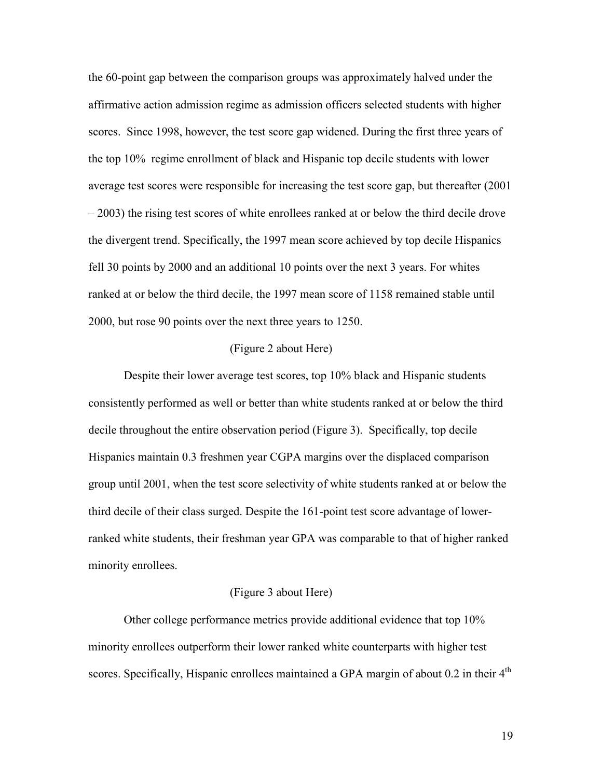the 60-point gap between the comparison groups was approximately halved under the affirmative action admission regime as admission officers selected students with higher scores. Since 1998, however, the test score gap widened. During the first three years of the top 10% regime enrollment of black and Hispanic top decile students with lower average test scores were responsible for increasing the test score gap, but thereafter (2001 – 2003) the rising test scores of white enrollees ranked at or below the third decile drove the divergent trend. Specifically, the 1997 mean score achieved by top decile Hispanics fell 30 points by 2000 and an additional 10 points over the next 3 years. For whites ranked at or below the third decile, the 1997 mean score of 1158 remained stable until 2000, but rose 90 points over the next three years to 1250.

### (Figure 2 about Here)

Despite their lower average test scores, top 10% black and Hispanic students consistently performed as well or better than white students ranked at or below the third decile throughout the entire observation period (Figure 3). Specifically, top decile Hispanics maintain 0.3 freshmen year CGPA margins over the displaced comparison group until 2001, when the test score selectivity of white students ranked at or below the third decile of their class surged. Despite the 161-point test score advantage of lowerranked white students, their freshman year GPA was comparable to that of higher ranked minority enrollees.

#### (Figure 3 about Here)

Other college performance metrics provide additional evidence that top 10% minority enrollees outperform their lower ranked white counterparts with higher test scores. Specifically, Hispanic enrollees maintained a GPA margin of about  $0.2$  in their  $4<sup>th</sup>$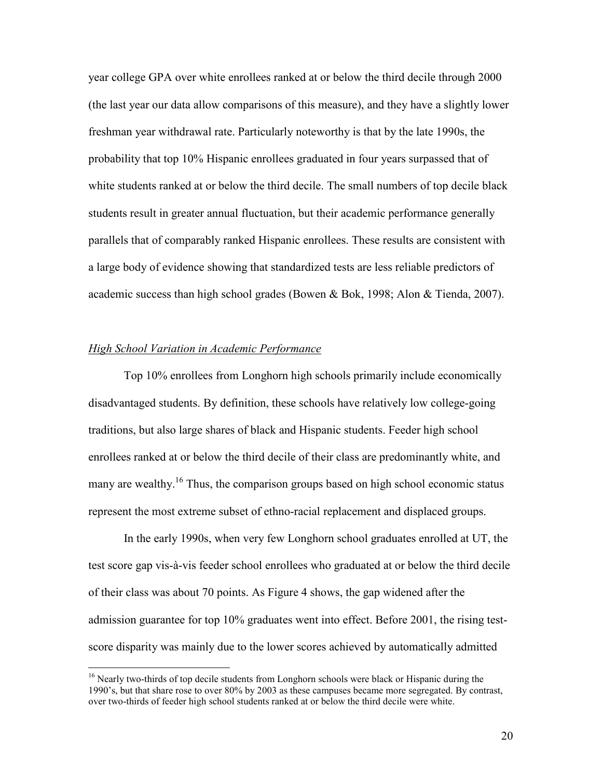year college GPA over white enrollees ranked at or below the third decile through 2000 (the last year our data allow comparisons of this measure), and they have a slightly lower freshman year withdrawal rate. Particularly noteworthy is that by the late 1990s, the probability that top 10% Hispanic enrollees graduated in four years surpassed that of white students ranked at or below the third decile. The small numbers of top decile black students result in greater annual fluctuation, but their academic performance generally parallels that of comparably ranked Hispanic enrollees. These results are consistent with a large body of evidence showing that standardized tests are less reliable predictors of academic success than high school grades (Bowen & Bok, 1998; Alon & Tienda, 2007).

### High School Variation in Academic Performance

 $\overline{a}$ 

Top 10% enrollees from Longhorn high schools primarily include economically disadvantaged students. By definition, these schools have relatively low college-going traditions, but also large shares of black and Hispanic students. Feeder high school enrollees ranked at or below the third decile of their class are predominantly white, and many are wealthy.<sup>16</sup> Thus, the comparison groups based on high school economic status represent the most extreme subset of ethno-racial replacement and displaced groups.

In the early 1990s, when very few Longhorn school graduates enrolled at UT, the test score gap vis-à-vis feeder school enrollees who graduated at or below the third decile of their class was about 70 points. As Figure 4 shows, the gap widened after the admission guarantee for top 10% graduates went into effect. Before 2001, the rising testscore disparity was mainly due to the lower scores achieved by automatically admitted

<sup>&</sup>lt;sup>16</sup> Nearly two-thirds of top decile students from Longhorn schools were black or Hispanic during the 1990's, but that share rose to over 80% by 2003 as these campuses became more segregated. By contrast, over two-thirds of feeder high school students ranked at or below the third decile were white.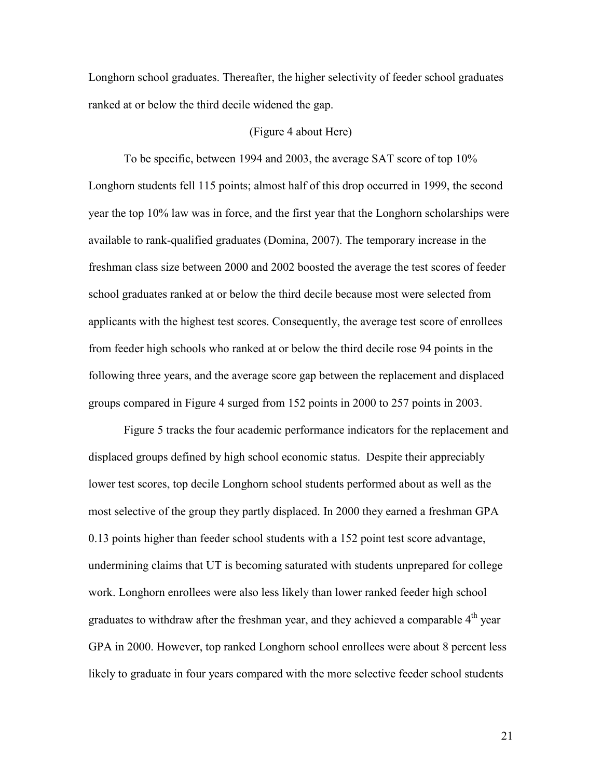Longhorn school graduates. Thereafter, the higher selectivity of feeder school graduates ranked at or below the third decile widened the gap.

#### (Figure 4 about Here)

To be specific, between 1994 and 2003, the average SAT score of top 10% Longhorn students fell 115 points; almost half of this drop occurred in 1999, the second year the top 10% law was in force, and the first year that the Longhorn scholarships were available to rank-qualified graduates (Domina, 2007). The temporary increase in the freshman class size between 2000 and 2002 boosted the average the test scores of feeder school graduates ranked at or below the third decile because most were selected from applicants with the highest test scores. Consequently, the average test score of enrollees from feeder high schools who ranked at or below the third decile rose 94 points in the following three years, and the average score gap between the replacement and displaced groups compared in Figure 4 surged from 152 points in 2000 to 257 points in 2003.

Figure 5 tracks the four academic performance indicators for the replacement and displaced groups defined by high school economic status. Despite their appreciably lower test scores, top decile Longhorn school students performed about as well as the most selective of the group they partly displaced. In 2000 they earned a freshman GPA 0.13 points higher than feeder school students with a 152 point test score advantage, undermining claims that UT is becoming saturated with students unprepared for college work. Longhorn enrollees were also less likely than lower ranked feeder high school graduates to withdraw after the freshman year, and they achieved a comparable  $4<sup>th</sup>$  year GPA in 2000. However, top ranked Longhorn school enrollees were about 8 percent less likely to graduate in four years compared with the more selective feeder school students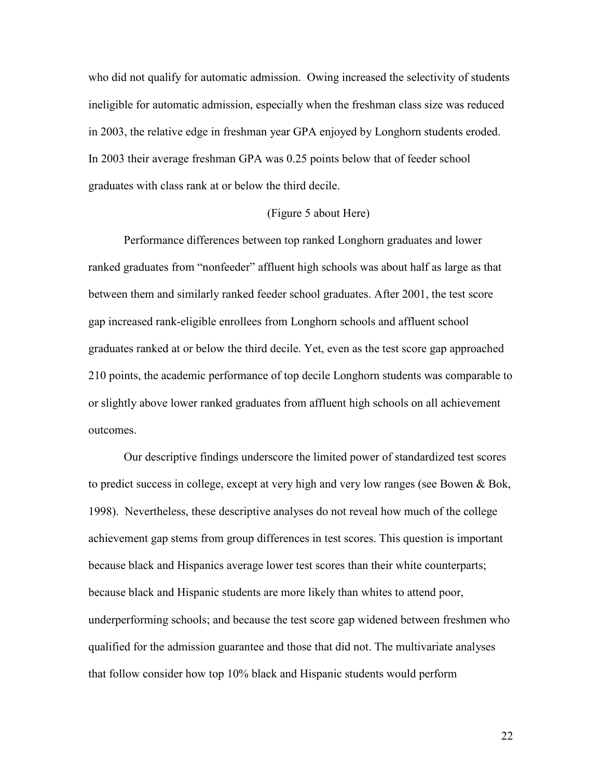who did not qualify for automatic admission. Owing increased the selectivity of students ineligible for automatic admission, especially when the freshman class size was reduced in 2003, the relative edge in freshman year GPA enjoyed by Longhorn students eroded. In 2003 their average freshman GPA was 0.25 points below that of feeder school graduates with class rank at or below the third decile.

#### (Figure 5 about Here)

Performance differences between top ranked Longhorn graduates and lower ranked graduates from "nonfeeder" affluent high schools was about half as large as that between them and similarly ranked feeder school graduates. After 2001, the test score gap increased rank-eligible enrollees from Longhorn schools and affluent school graduates ranked at or below the third decile. Yet, even as the test score gap approached 210 points, the academic performance of top decile Longhorn students was comparable to or slightly above lower ranked graduates from affluent high schools on all achievement outcomes.

Our descriptive findings underscore the limited power of standardized test scores to predict success in college, except at very high and very low ranges (see Bowen & Bok, 1998). Nevertheless, these descriptive analyses do not reveal how much of the college achievement gap stems from group differences in test scores. This question is important because black and Hispanics average lower test scores than their white counterparts; because black and Hispanic students are more likely than whites to attend poor, underperforming schools; and because the test score gap widened between freshmen who qualified for the admission guarantee and those that did not. The multivariate analyses that follow consider how top 10% black and Hispanic students would perform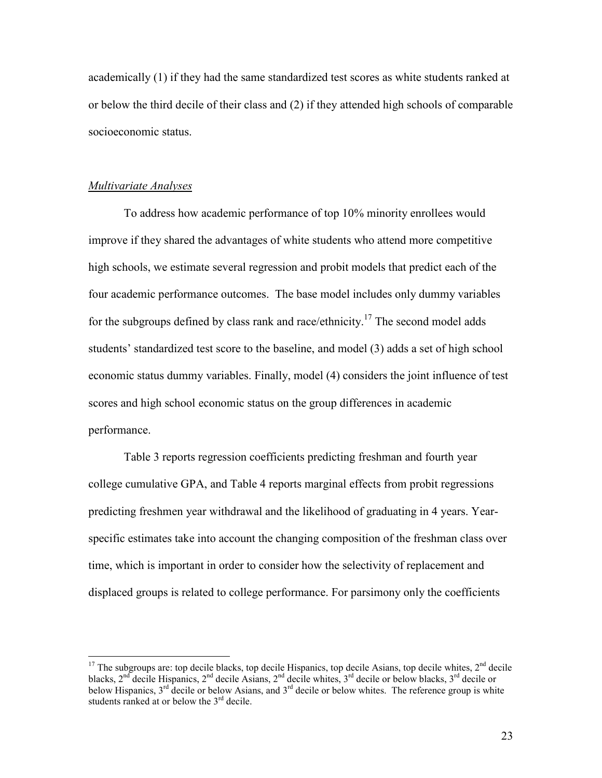academically (1) if they had the same standardized test scores as white students ranked at or below the third decile of their class and (2) if they attended high schools of comparable socioeconomic status.

#### Multivariate Analyses

 $\overline{a}$ 

To address how academic performance of top 10% minority enrollees would improve if they shared the advantages of white students who attend more competitive high schools, we estimate several regression and probit models that predict each of the four academic performance outcomes. The base model includes only dummy variables for the subgroups defined by class rank and race/ethnicity.<sup>17</sup> The second model adds students' standardized test score to the baseline, and model (3) adds a set of high school economic status dummy variables. Finally, model (4) considers the joint influence of test scores and high school economic status on the group differences in academic performance.

Table 3 reports regression coefficients predicting freshman and fourth year college cumulative GPA, and Table 4 reports marginal effects from probit regressions predicting freshmen year withdrawal and the likelihood of graduating in 4 years. Yearspecific estimates take into account the changing composition of the freshman class over time, which is important in order to consider how the selectivity of replacement and displaced groups is related to college performance. For parsimony only the coefficients

 $17$  The subgroups are: top decile blacks, top decile Hispanics, top decile Asians, top decile whites,  $2<sup>nd</sup>$  decile blacks,  $2^{nd}$  decile Hispanics,  $2^{nd}$  decile Asians,  $2^{nd}$  decile whites,  $3^{rd}$  decile or below blacks,  $3^{rd}$  decile or below Hispanics,  $3^{rd}$  decile or below Asians, and  $3^{rd}$  decile or below whites. The reference group is white students ranked at or below the  $3<sup>rd</sup>$  decile.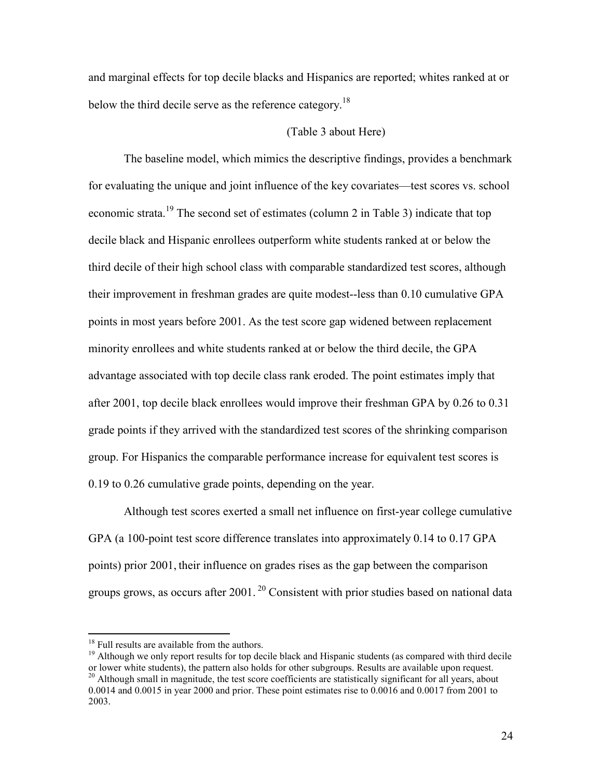and marginal effects for top decile blacks and Hispanics are reported; whites ranked at or below the third decile serve as the reference category.<sup>18</sup>

#### (Table 3 about Here)

The baseline model, which mimics the descriptive findings, provides a benchmark for evaluating the unique and joint influence of the key covariates—test scores vs. school economic strata.<sup>19</sup> The second set of estimates (column 2 in Table 3) indicate that top decile black and Hispanic enrollees outperform white students ranked at or below the third decile of their high school class with comparable standardized test scores, although their improvement in freshman grades are quite modest--less than 0.10 cumulative GPA points in most years before 2001. As the test score gap widened between replacement minority enrollees and white students ranked at or below the third decile, the GPA advantage associated with top decile class rank eroded. The point estimates imply that after 2001, top decile black enrollees would improve their freshman GPA by 0.26 to 0.31 grade points if they arrived with the standardized test scores of the shrinking comparison group. For Hispanics the comparable performance increase for equivalent test scores is 0.19 to 0.26 cumulative grade points, depending on the year.

Although test scores exerted a small net influence on first-year college cumulative GPA (a 100-point test score difference translates into approximately 0.14 to 0.17 GPA points) prior 2001, their influence on grades rises as the gap between the comparison groups grows, as occurs after  $2001$ .<sup>20</sup> Consistent with prior studies based on national data

<sup>19</sup> Although we only report results for top decile black and Hispanic students (as compared with third decile or lower white students), the pattern also holds for other subgroups. Results are available upon request. <sup>20</sup> Although small in magnitude, the test score coefficients are statistically significant for all years, about 0.0014 and 0.0015 in year 2000 and prior. These point estimates rise to 0.0016 and 0.0017 from 2001 to

 $\overline{a}$ 

<sup>&</sup>lt;sup>18</sup> Full results are available from the authors.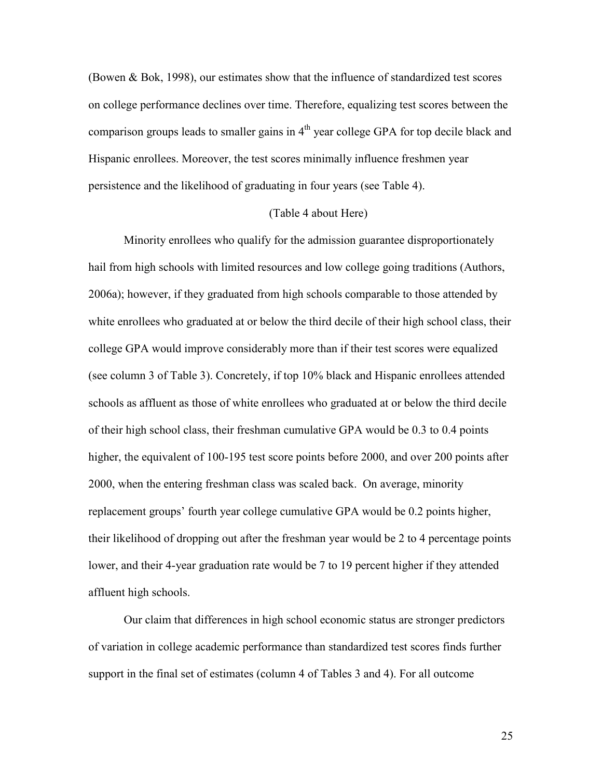(Bowen & Bok, 1998), our estimates show that the influence of standardized test scores on college performance declines over time. Therefore, equalizing test scores between the comparison groups leads to smaller gains in  $4<sup>th</sup>$  year college GPA for top decile black and Hispanic enrollees. Moreover, the test scores minimally influence freshmen year persistence and the likelihood of graduating in four years (see Table 4).

#### (Table 4 about Here)

Minority enrollees who qualify for the admission guarantee disproportionately hail from high schools with limited resources and low college going traditions (Authors, 2006a); however, if they graduated from high schools comparable to those attended by white enrollees who graduated at or below the third decile of their high school class, their college GPA would improve considerably more than if their test scores were equalized (see column 3 of Table 3). Concretely, if top 10% black and Hispanic enrollees attended schools as affluent as those of white enrollees who graduated at or below the third decile of their high school class, their freshman cumulative GPA would be 0.3 to 0.4 points higher, the equivalent of 100-195 test score points before 2000, and over 200 points after 2000, when the entering freshman class was scaled back. On average, minority replacement groups' fourth year college cumulative GPA would be 0.2 points higher, their likelihood of dropping out after the freshman year would be 2 to 4 percentage points lower, and their 4-year graduation rate would be 7 to 19 percent higher if they attended affluent high schools.

Our claim that differences in high school economic status are stronger predictors of variation in college academic performance than standardized test scores finds further support in the final set of estimates (column 4 of Tables 3 and 4). For all outcome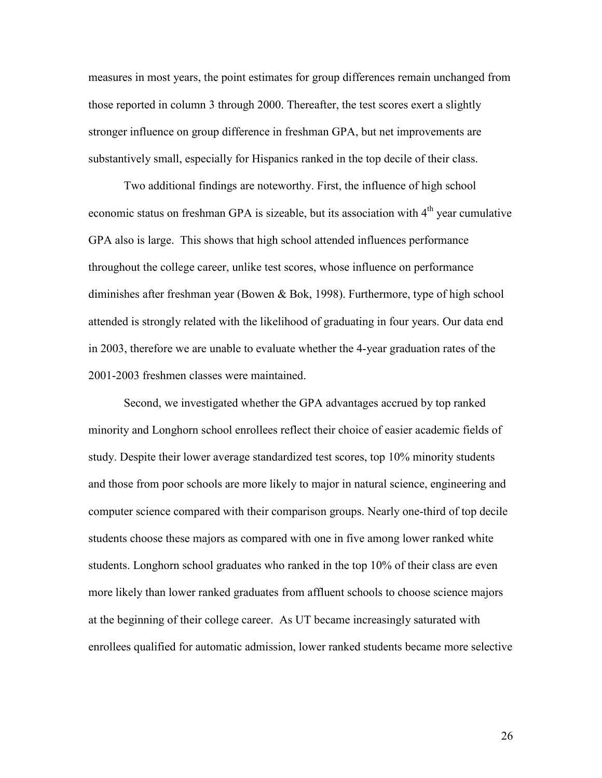measures in most years, the point estimates for group differences remain unchanged from those reported in column 3 through 2000. Thereafter, the test scores exert a slightly stronger influence on group difference in freshman GPA, but net improvements are substantively small, especially for Hispanics ranked in the top decile of their class.

Two additional findings are noteworthy. First, the influence of high school economic status on freshman GPA is sizeable, but its association with 4<sup>th</sup> year cumulative GPA also is large. This shows that high school attended influences performance throughout the college career, unlike test scores, whose influence on performance diminishes after freshman year (Bowen & Bok, 1998). Furthermore, type of high school attended is strongly related with the likelihood of graduating in four years. Our data end in 2003, therefore we are unable to evaluate whether the 4-year graduation rates of the 2001-2003 freshmen classes were maintained.

Second, we investigated whether the GPA advantages accrued by top ranked minority and Longhorn school enrollees reflect their choice of easier academic fields of study. Despite their lower average standardized test scores, top 10% minority students and those from poor schools are more likely to major in natural science, engineering and computer science compared with their comparison groups. Nearly one-third of top decile students choose these majors as compared with one in five among lower ranked white students. Longhorn school graduates who ranked in the top 10% of their class are even more likely than lower ranked graduates from affluent schools to choose science majors at the beginning of their college career. As UT became increasingly saturated with enrollees qualified for automatic admission, lower ranked students became more selective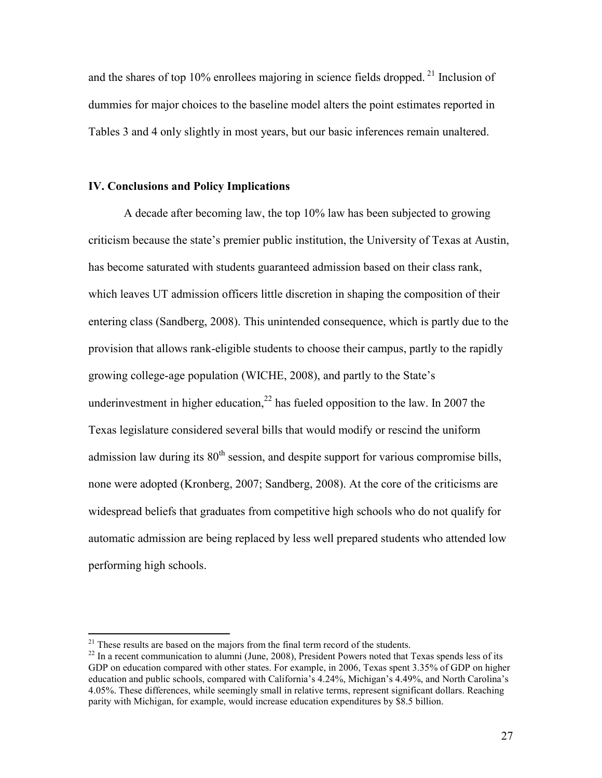and the shares of top 10% enrollees majoring in science fields dropped.<sup>21</sup> Inclusion of dummies for major choices to the baseline model alters the point estimates reported in Tables 3 and 4 only slightly in most years, but our basic inferences remain unaltered.

#### IV. Conclusions and Policy Implications

A decade after becoming law, the top 10% law has been subjected to growing criticism because the state's premier public institution, the University of Texas at Austin, has become saturated with students guaranteed admission based on their class rank, which leaves UT admission officers little discretion in shaping the composition of their entering class (Sandberg, 2008). This unintended consequence, which is partly due to the provision that allows rank-eligible students to choose their campus, partly to the rapidly growing college-age population (WICHE, 2008), and partly to the State's underinvestment in higher education,<sup>22</sup> has fueled opposition to the law. In 2007 the Texas legislature considered several bills that would modify or rescind the uniform admission law during its  $80<sup>th</sup>$  session, and despite support for various compromise bills, none were adopted (Kronberg, 2007; Sandberg, 2008). At the core of the criticisms are widespread beliefs that graduates from competitive high schools who do not qualify for automatic admission are being replaced by less well prepared students who attended low performing high schools.

-

<sup>&</sup>lt;sup>21</sup> These results are based on the majors from the final term record of the students.

<sup>&</sup>lt;sup>22</sup> In a recent communication to alumni (June, 2008), President Powers noted that Texas spends less of its GDP on education compared with other states. For example, in 2006, Texas spent 3.35% of GDP on higher education and public schools, compared with California's 4.24%, Michigan's 4.49%, and North Carolina's 4.05%. These differences, while seemingly small in relative terms, represent significant dollars. Reaching parity with Michigan, for example, would increase education expenditures by \$8.5 billion.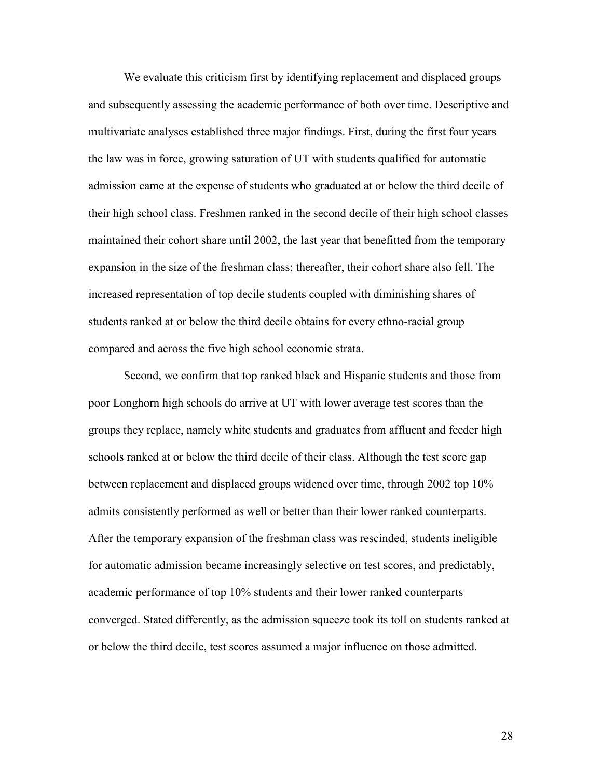We evaluate this criticism first by identifying replacement and displaced groups and subsequently assessing the academic performance of both over time. Descriptive and multivariate analyses established three major findings. First, during the first four years the law was in force, growing saturation of UT with students qualified for automatic admission came at the expense of students who graduated at or below the third decile of their high school class. Freshmen ranked in the second decile of their high school classes maintained their cohort share until 2002, the last year that benefitted from the temporary expansion in the size of the freshman class; thereafter, their cohort share also fell. The increased representation of top decile students coupled with diminishing shares of students ranked at or below the third decile obtains for every ethno-racial group compared and across the five high school economic strata.

Second, we confirm that top ranked black and Hispanic students and those from poor Longhorn high schools do arrive at UT with lower average test scores than the groups they replace, namely white students and graduates from affluent and feeder high schools ranked at or below the third decile of their class. Although the test score gap between replacement and displaced groups widened over time, through 2002 top 10% admits consistently performed as well or better than their lower ranked counterparts. After the temporary expansion of the freshman class was rescinded, students ineligible for automatic admission became increasingly selective on test scores, and predictably, academic performance of top 10% students and their lower ranked counterparts converged. Stated differently, as the admission squeeze took its toll on students ranked at or below the third decile, test scores assumed a major influence on those admitted.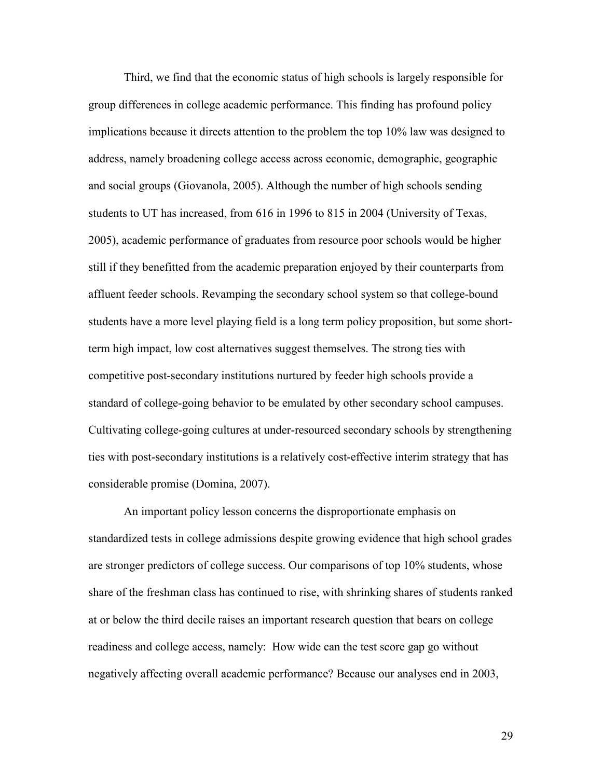Third, we find that the economic status of high schools is largely responsible for group differences in college academic performance. This finding has profound policy implications because it directs attention to the problem the top 10% law was designed to address, namely broadening college access across economic, demographic, geographic and social groups (Giovanola, 2005). Although the number of high schools sending students to UT has increased, from 616 in 1996 to 815 in 2004 (University of Texas, 2005), academic performance of graduates from resource poor schools would be higher still if they benefitted from the academic preparation enjoyed by their counterparts from affluent feeder schools. Revamping the secondary school system so that college-bound students have a more level playing field is a long term policy proposition, but some shortterm high impact, low cost alternatives suggest themselves. The strong ties with competitive post-secondary institutions nurtured by feeder high schools provide a standard of college-going behavior to be emulated by other secondary school campuses. Cultivating college-going cultures at under-resourced secondary schools by strengthening ties with post-secondary institutions is a relatively cost-effective interim strategy that has considerable promise (Domina, 2007).

An important policy lesson concerns the disproportionate emphasis on standardized tests in college admissions despite growing evidence that high school grades are stronger predictors of college success. Our comparisons of top 10% students, whose share of the freshman class has continued to rise, with shrinking shares of students ranked at or below the third decile raises an important research question that bears on college readiness and college access, namely: How wide can the test score gap go without negatively affecting overall academic performance? Because our analyses end in 2003,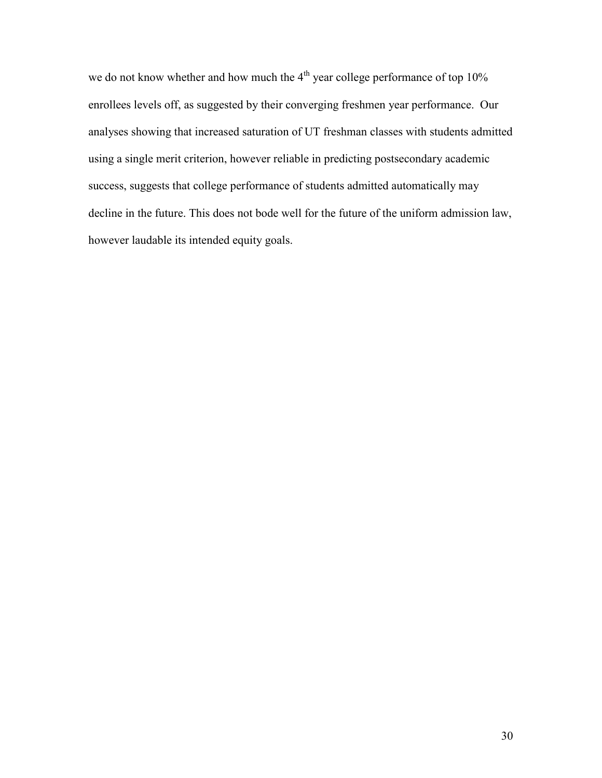we do not know whether and how much the  $4<sup>th</sup>$  year college performance of top 10% enrollees levels off, as suggested by their converging freshmen year performance. Our analyses showing that increased saturation of UT freshman classes with students admitted using a single merit criterion, however reliable in predicting postsecondary academic success, suggests that college performance of students admitted automatically may decline in the future. This does not bode well for the future of the uniform admission law, however laudable its intended equity goals.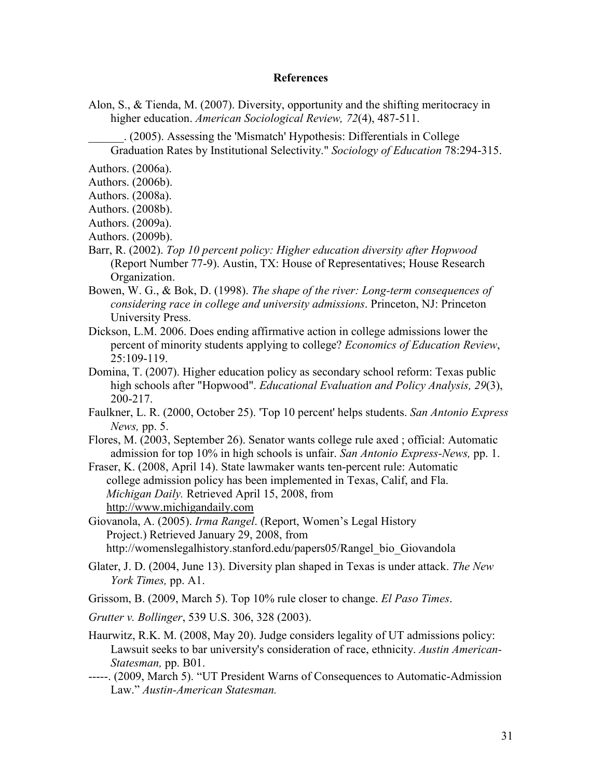#### **References**

Alon, S., & Tienda, M. (2007). Diversity, opportunity and the shifting meritocracy in higher education. American Sociological Review, 72(4), 487-511.

\_\_\_\_\_\_. (2005). Assessing the 'Mismatch' Hypothesis: Differentials in College Graduation Rates by Institutional Selectivity." Sociology of Education 78:294-315.

Authors. (2006a).

- Authors. (2006b).
- Authors. (2008a).
- Authors. (2008b).
- Authors. (2009a).
- Authors. (2009b).
- Barr, R. (2002). Top 10 percent policy: Higher education diversity after Hopwood (Report Number 77-9). Austin, TX: House of Representatives; House Research Organization.
- Bowen, W. G., & Bok, D. (1998). The shape of the river: Long-term consequences of considering race in college and university admissions. Princeton, NJ: Princeton University Press.
- Dickson, L.M. 2006. Does ending affirmative action in college admissions lower the percent of minority students applying to college? Economics of Education Review, 25:109-119.
- Domina, T. (2007). Higher education policy as secondary school reform: Texas public high schools after "Hopwood". *Educational Evaluation and Policy Analysis, 29(3)*, 200-217.
- Faulkner, L. R. (2000, October 25). 'Top 10 percent' helps students. San Antonio Express News, pp. 5.
- Flores, M. (2003, September 26). Senator wants college rule axed ; official: Automatic admission for top 10% in high schools is unfair. San Antonio Express-News, pp. 1.
- Fraser, K. (2008, April 14). State lawmaker wants ten-percent rule: Automatic college admission policy has been implemented in Texas, Calif, and Fla. Michigan Daily. Retrieved April 15, 2008, from http://www.michigandaily.com

Giovanola, A. (2005). Irma Rangel. (Report, Women's Legal History Project.) Retrieved January 29, 2008, from http://womenslegalhistory.stanford.edu/papers05/Rangel\_bio\_Giovandola

- Glater, J. D. (2004, June 13). Diversity plan shaped in Texas is under attack. The New York Times, pp. A1.
- Grissom, B. (2009, March 5). Top 10% rule closer to change. El Paso Times.
- Grutter v. Bollinger, 539 U.S. 306, 328 (2003).
- Haurwitz, R.K. M. (2008, May 20). Judge considers legality of UT admissions policy: Lawsuit seeks to bar university's consideration of race, ethnicity. Austin American-Statesman, pp. B01.
- -----. (2009, March 5). "UT President Warns of Consequences to Automatic-Admission Law." Austin-American Statesman.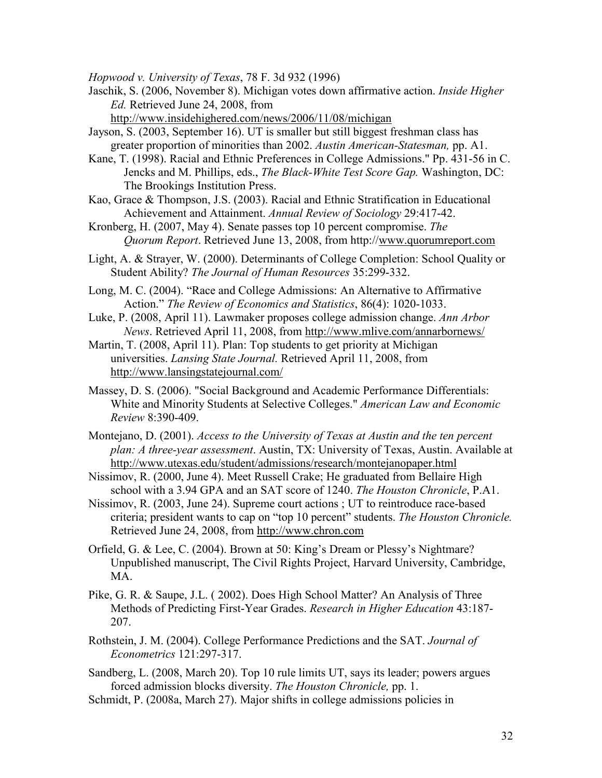Hopwood v. University of Texas, 78 F. 3d 932 (1996)

Jaschik, S. (2006, November 8). Michigan votes down affirmative action. Inside Higher Ed. Retrieved June 24, 2008, from

http://www.insidehighered.com/news/2006/11/08/michigan

- Jayson, S. (2003, September 16). UT is smaller but still biggest freshman class has greater proportion of minorities than 2002. Austin American-Statesman, pp. A1.
- Kane, T. (1998). Racial and Ethnic Preferences in College Admissions." Pp. 431-56 in C. Jencks and M. Phillips, eds., The Black-White Test Score Gap. Washington, DC: The Brookings Institution Press.
- Kao, Grace & Thompson, J.S. (2003). Racial and Ethnic Stratification in Educational Achievement and Attainment. Annual Review of Sociology 29:417-42.
- Kronberg, H. (2007, May 4). Senate passes top 10 percent compromise. The Quorum Report. Retrieved June 13, 2008, from http://www.quorumreport.com
- Light, A. & Strayer, W. (2000). Determinants of College Completion: School Quality or Student Ability? The Journal of Human Resources 35:299-332.
- Long, M. C. (2004). "Race and College Admissions: An Alternative to Affirmative Action." The Review of Economics and Statistics, 86(4): 1020-1033.
- Luke, P. (2008, April 11). Lawmaker proposes college admission change. Ann Arbor News. Retrieved April 11, 2008, from http://www.mlive.com/annarbornews/
- Martin, T. (2008, April 11). Plan: Top students to get priority at Michigan universities. Lansing State Journal. Retrieved April 11, 2008, from http://www.lansingstatejournal.com/
- Massey, D. S. (2006). "Social Background and Academic Performance Differentials: White and Minority Students at Selective Colleges." American Law and Economic Review 8:390-409.
- Montejano, D. (2001). Access to the University of Texas at Austin and the ten percent plan: A three-year assessment. Austin, TX: University of Texas, Austin. Available at http://www.utexas.edu/student/admissions/research/montejanopaper.html
- Nissimov, R. (2000, June 4). Meet Russell Crake; He graduated from Bellaire High school with a 3.94 GPA and an SAT score of 1240. The Houston Chronicle, P.A1.
- Nissimov, R. (2003, June 24). Supreme court actions ; UT to reintroduce race-based criteria; president wants to cap on "top 10 percent" students. The Houston Chronicle. Retrieved June 24, 2008, from http://www.chron.com
- Orfield, G. & Lee, C. (2004). Brown at 50: King's Dream or Plessy's Nightmare? Unpublished manuscript, The Civil Rights Project, Harvard University, Cambridge, MA.
- Pike, G. R. & Saupe, J.L. ( 2002). Does High School Matter? An Analysis of Three Methods of Predicting First-Year Grades. Research in Higher Education 43:187- 207.
- Rothstein, J. M. (2004). College Performance Predictions and the SAT. Journal of Econometrics 121:297-317.
- Sandberg, L. (2008, March 20). Top 10 rule limits UT, says its leader; powers argues forced admission blocks diversity. The Houston Chronicle, pp. 1.
- Schmidt, P. (2008a, March 27). Major shifts in college admissions policies in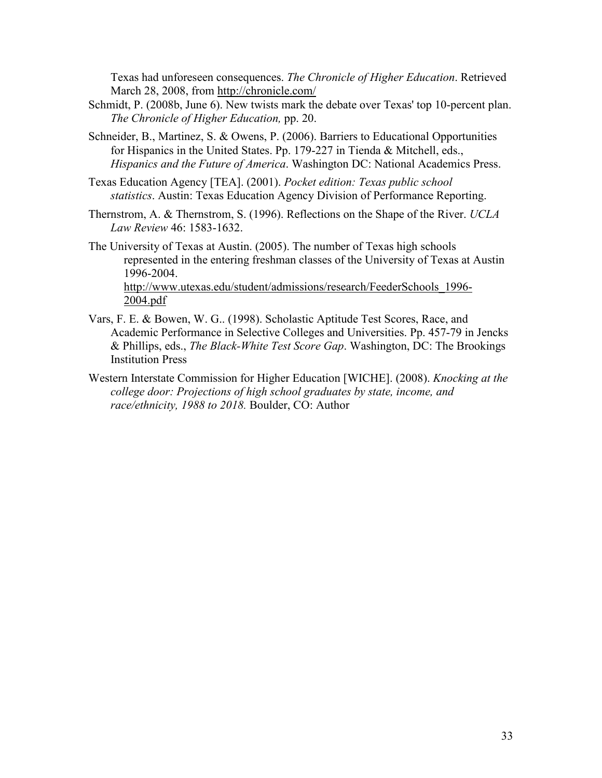Texas had unforeseen consequences. The Chronicle of Higher Education. Retrieved March 28, 2008, from http://chronicle.com/

- Schmidt, P. (2008b, June 6). New twists mark the debate over Texas' top 10-percent plan. The Chronicle of Higher Education, pp. 20.
- Schneider, B., Martinez, S. & Owens, P. (2006). Barriers to Educational Opportunities for Hispanics in the United States. Pp. 179-227 in Tienda & Mitchell, eds., Hispanics and the Future of America. Washington DC: National Academics Press.
- Texas Education Agency [TEA]. (2001). Pocket edition: Texas public school statistics. Austin: Texas Education Agency Division of Performance Reporting.
- Thernstrom, A. & Thernstrom, S. (1996). Reflections on the Shape of the River. UCLA Law Review 46: 1583-1632.
- The University of Texas at Austin. (2005). The number of Texas high schools represented in the entering freshman classes of the University of Texas at Austin 1996-2004.

http://www.utexas.edu/student/admissions/research/FeederSchools\_1996- 2004.pdf

- Vars, F. E. & Bowen, W. G.. (1998). Scholastic Aptitude Test Scores, Race, and Academic Performance in Selective Colleges and Universities. Pp. 457-79 in Jencks & Phillips, eds., The Black-White Test Score Gap. Washington, DC: The Brookings Institution Press
- Western Interstate Commission for Higher Education [WICHE]. (2008). Knocking at the college door: Projections of high school graduates by state, income, and race/ethnicity, 1988 to 2018. Boulder, CO: Author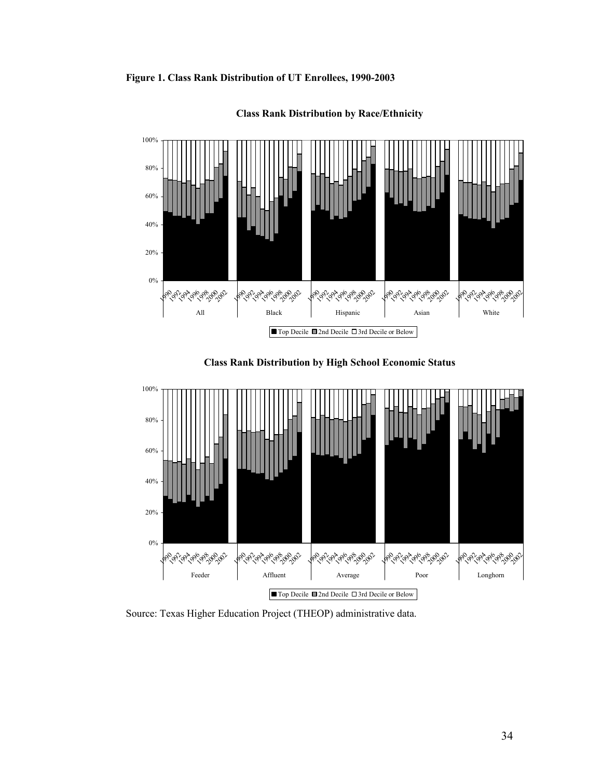Figure 1. Class Rank Distribution of UT Enrollees, 1990-2003



Class Rank Distribution by Race/Ethnicity





Source: Texas Higher Education Project (THEOP) administrative data.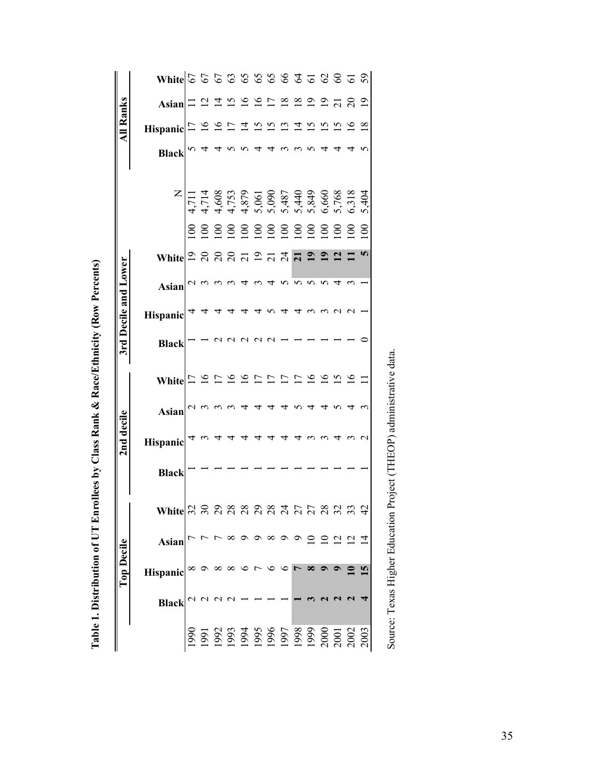Table 1. Distribution of UT Enrollees by Class Rank & Race/Ethnicity (Row Percents) Table 1. Distribution of UT Enrollees by Class Rank & Race/Ethnicity (Row Percents)

|                      | $W$ hite $\, \, \mathbb{C} \, \, \mathbb{C} \, \, \mathbb{C} \, \, \mathbb{C} \, \, \mathbb{C} \, \, \mathbb{C} \, \, \mathbb{C} \, \, \mathbb{C} \, \, \mathbb{C} \, \, \mathbb{C} \, \, \mathbb{C} \, \, \mathbb{C} \, \, \mathbb{C} \, \, \mathbb{C} \, \, \mathbb{C} \, \, \mathbb{C} \, \, \mathbb{C} \, \, \mathbb{C} \, \, \mathbb{C} \, \, \mathbb{C} \, \, \mathbb{C} \, \$ |                 |               |               |                                                                                                |                |                   |                 |               |                          |                |                 |                   |                       |                |
|----------------------|--------------------------------------------------------------------------------------------------------------------------------------------------------------------------------------------------------------------------------------------------------------------------------------------------------------------------------------------------------------------------------------|-----------------|---------------|---------------|------------------------------------------------------------------------------------------------|----------------|-------------------|-----------------|---------------|--------------------------|----------------|-----------------|-------------------|-----------------------|----------------|
|                      | Asian                                                                                                                                                                                                                                                                                                                                                                                |                 |               | $\vec{a}$     | $\frac{5}{1}$                                                                                  | $\geq$         |                   |                 | $\frac{8}{1}$ | $\frac{8}{18}$           | $\overline{0}$ | $\overline{0}$  |                   |                       | $\overline{9}$ |
| <b>All Ranks</b>     | <b>Hispanic</b>                                                                                                                                                                                                                                                                                                                                                                      | $\overline{17}$ | $\frac{8}{1}$ | $\frac{8}{1}$ | $\overline{17}$                                                                                | $\overline{4}$ | $\overline{15}$   | $\overline{15}$ | ≌             | $\overline{4}$           | $\overline{5}$ | $\overline{5}$  | $\tilde{5}$       | ِص                    | $\infty$       |
|                      | <b>Black</b>                                                                                                                                                                                                                                                                                                                                                                         |                 |               |               |                                                                                                |                |                   |                 |               |                          |                |                 |                   |                       |                |
|                      |                                                                                                                                                                                                                                                                                                                                                                                      |                 |               |               |                                                                                                |                |                   |                 |               |                          |                |                 |                   |                       | 5,404          |
|                      |                                                                                                                                                                                                                                                                                                                                                                                      |                 |               |               | 8 8 8 8 8 8 8 8 8 8 8 9 8                                                                      |                |                   |                 |               |                          |                |                 |                   |                       | $\mathbf{S}$   |
|                      |                                                                                                                                                                                                                                                                                                                                                                                      |                 |               |               |                                                                                                |                |                   |                 |               |                          |                | $\overline{19}$ |                   |                       |                |
|                      | Asian                                                                                                                                                                                                                                                                                                                                                                                |                 |               |               |                                                                                                |                |                   |                 |               | 5                        |                |                 |                   |                       |                |
|                      | Hispanic                                                                                                                                                                                                                                                                                                                                                                             |                 |               |               |                                                                                                |                |                   |                 |               |                          |                |                 |                   |                       |                |
| 3rd Decile and Lower | <b>Black</b>                                                                                                                                                                                                                                                                                                                                                                         |                 |               |               |                                                                                                |                |                   |                 |               |                          |                |                 |                   |                       |                |
|                      | White $\vert \Xi \vert$                                                                                                                                                                                                                                                                                                                                                              |                 |               |               |                                                                                                |                | $\mathbf{\Gamma}$ |                 |               | $\overline{\phantom{a}}$ | $\overline{a}$ |                 | <u>s a</u>        | $\tilde{\mathcal{O}}$ |                |
|                      | <b>Asian</b>                                                                                                                                                                                                                                                                                                                                                                         |                 |               |               |                                                                                                |                |                   |                 |               |                          |                |                 |                   |                       |                |
| 2nd decile           | Hispanic                                                                                                                                                                                                                                                                                                                                                                             |                 |               |               |                                                                                                |                |                   |                 |               |                          |                |                 |                   |                       |                |
|                      | <b>Black</b>                                                                                                                                                                                                                                                                                                                                                                         |                 |               |               |                                                                                                |                |                   |                 |               |                          |                |                 |                   |                       |                |
|                      | White                                                                                                                                                                                                                                                                                                                                                                                | $\sim$          |               | $\sim$        | aaaaaaaa                                                                                       |                |                   |                 |               |                          |                |                 | $\omega$ $\omega$ |                       |                |
|                      | Asian                                                                                                                                                                                                                                                                                                                                                                                |                 |               |               |                                                                                                |                |                   |                 |               |                          |                |                 |                   |                       |                |
| <b>Top Decile</b>    | Hispanic                                                                                                                                                                                                                                                                                                                                                                             |                 |               |               | $\infty$ $\infty$ $\infty$                                                                     |                |                   |                 |               |                          |                |                 |                   |                       |                |
|                      | <b>Black</b>                                                                                                                                                                                                                                                                                                                                                                         |                 |               |               |                                                                                                |                |                   |                 |               |                          |                |                 |                   |                       |                |
|                      |                                                                                                                                                                                                                                                                                                                                                                                      | 066             |               |               | 1991<br>1993 35 36 36 56 76 89 900<br>1993 3000 1998 9000 1<br>1998 9000 1000 1000 2000 2000 3 |                |                   |                 |               |                          |                |                 |                   |                       |                |

Source: Texas Higher Education Project (THEOP) administrative data. Source: Texas Higher Education Project (THEOP) administrative data.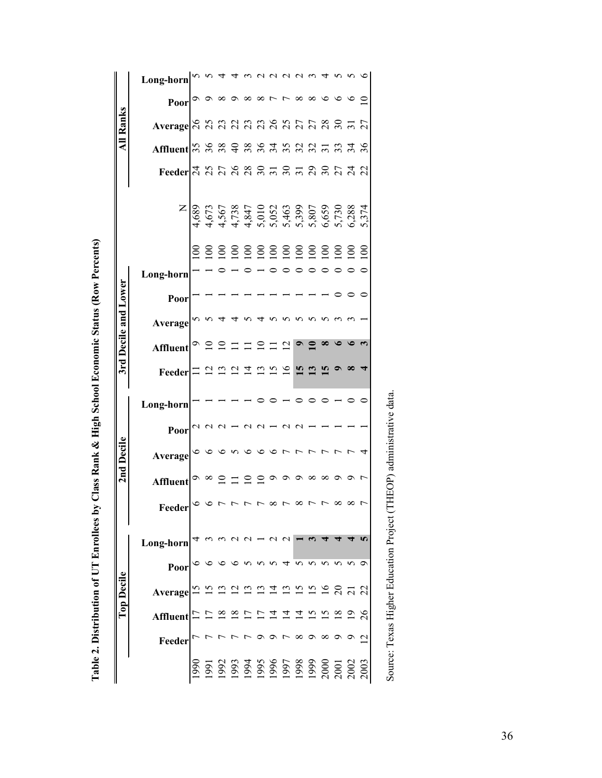Table 2. Distribution of UT Enrollees by Class Rank & High School Economic Status (Row Percents) Table 2. Distribution of UT Enrollees by Class Rank & High School Economic Status (Row Percents)

|                      | Long-horn                                                                                                                                                                                                                                                                                                                       |       |                 |               |                |                               |         |                |          |              |                        |                |         |         |
|----------------------|---------------------------------------------------------------------------------------------------------------------------------------------------------------------------------------------------------------------------------------------------------------------------------------------------------------------------------|-------|-----------------|---------------|----------------|-------------------------------|---------|----------------|----------|--------------|------------------------|----------------|---------|---------|
|                      | Poor                                                                                                                                                                                                                                                                                                                            |       |                 |               | $\infty$       | $\infty$                      |         |                | 8        | ${}^{\circ}$ | $\circ$                |                |         | $\circ$ |
| <b>All Ranks</b>     | Average A A A A A A A A A A A A A A A A                                                                                                                                                                                                                                                                                         |       |                 |               |                |                               |         |                |          |              |                        |                |         |         |
|                      | Affluent $\mathbb{R}$ $\mathbb{R}$ $\mathbb{R}$ $\mathbb{R}$ $\mathbb{R}$ $\mathbb{R}$ $\mathbb{R}$ $\mathbb{R}$ $\mathbb{R}$ $\mathbb{R}$ $\mathbb{R}$ $\mathbb{R}$ $\mathbb{R}$ $\mathbb{R}$ $\mathbb{R}$ $\mathbb{R}$ $\mathbb{R}$ $\mathbb{R}$ $\mathbb{R}$ $\mathbb{R}$ $\mathbb{R}$ $\mathbb{R}$ $\mathbb{R}$ $\mathbb{R$ |       |                 |               |                |                               |         |                |          |              |                        |                |         |         |
|                      | Feeder $\frac{1}{3}$ $\frac{1}{3}$ $\frac{1}{3}$ $\frac{1}{3}$ $\frac{1}{3}$ $\frac{2}{3}$ $\frac{2}{3}$ $\frac{2}{3}$ $\frac{2}{3}$ $\frac{2}{3}$ $\frac{2}{3}$ $\frac{2}{3}$ $\frac{2}{3}$ $\frac{2}{3}$ $\frac{2}{3}$ $\frac{1}{3}$ $\frac{2}{3}$                                                                            |       |                 |               |                |                               |         |                |          |              |                        |                |         |         |
|                      |                                                                                                                                                                                                                                                                                                                                 |       |                 |               |                |                               |         |                |          |              |                        |                |         |         |
|                      |                                                                                                                                                                                                                                                                                                                                 | $\Xi$ |                 |               | 888888888888   |                               |         |                |          |              |                        |                |         |         |
|                      | Long-horn                                                                                                                                                                                                                                                                                                                       |       |                 |               |                |                               |         |                |          |              |                        |                |         |         |
|                      | Poor                                                                                                                                                                                                                                                                                                                            |       |                 |               |                |                               |         |                |          |              |                        |                |         |         |
| 3rd Decile and Lower | Average                                                                                                                                                                                                                                                                                                                         |       |                 |               |                |                               |         |                |          |              |                        |                |         |         |
|                      | Affluent                                                                                                                                                                                                                                                                                                                        |       |                 |               |                |                               |         |                |          |              |                        |                |         |         |
|                      | Feeder                                                                                                                                                                                                                                                                                                                          |       |                 |               |                | $\mathbf{C}$                  | $\Xi$   | $\overline{a}$ |          |              |                        |                |         |         |
|                      | Long-horn                                                                                                                                                                                                                                                                                                                       |       |                 |               |                |                               |         |                |          |              |                        |                |         |         |
|                      | Poor                                                                                                                                                                                                                                                                                                                            |       |                 |               |                |                               |         |                |          |              |                        |                |         |         |
| 2nd Decile           | Average                                                                                                                                                                                                                                                                                                                         |       |                 |               |                |                               |         |                |          |              |                        |                |         |         |
|                      | <b>Affluent</b>                                                                                                                                                                                                                                                                                                                 |       | $\sim$ $\infty$ |               | $\subseteq$    | $\subseteq$                   | $\circ$ |                |          | $\infty$     | $\infty$ $\infty$      |                | $\circ$ |         |
|                      | Feeder                                                                                                                                                                                                                                                                                                                          |       |                 |               |                |                               |         |                | $\infty$ |              | $\sim$ $\sim$ $\infty$ |                |         | ᡕ       |
|                      | Long-horn                                                                                                                                                                                                                                                                                                                       |       |                 |               |                |                               |         |                |          |              |                        |                |         |         |
|                      | Poor                                                                                                                                                                                                                                                                                                                            |       |                 |               |                |                               |         |                |          |              |                        |                |         |         |
| <b>Top Decile</b>    | Average                                                                                                                                                                                                                                                                                                                         |       |                 |               | 212112         |                               |         |                |          |              |                        |                |         |         |
|                      | Affluent $\Box$                                                                                                                                                                                                                                                                                                                 |       |                 | $\frac{8}{1}$ | $\overline{a}$ | $\overline{C}$ $\overline{4}$ |         | $\overline{A}$ |          |              |                        | $\frac{8}{18}$ |         | 26      |
|                      | Feeder                                                                                                                                                                                                                                                                                                                          |       |                 |               |                |                               |         |                |          |              |                        |                |         | $\sim$  |
|                      |                                                                                                                                                                                                                                                                                                                                 |       |                 |               |                |                               |         |                |          |              |                        |                |         |         |

Source: Texas Higher Education Project (THEOP) administrative data. Source: Texas Higher Education Project (THEOP) administrative data.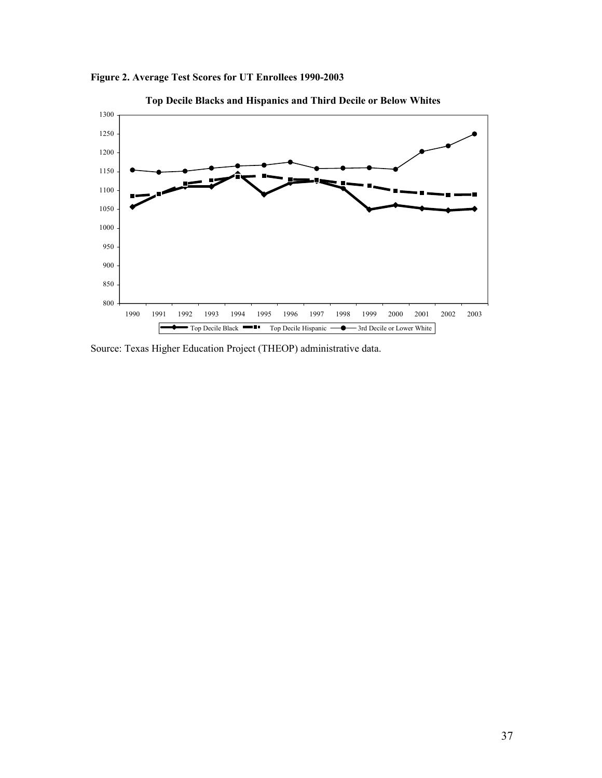

Figure 2. Average Test Scores for UT Enrollees 1990-2003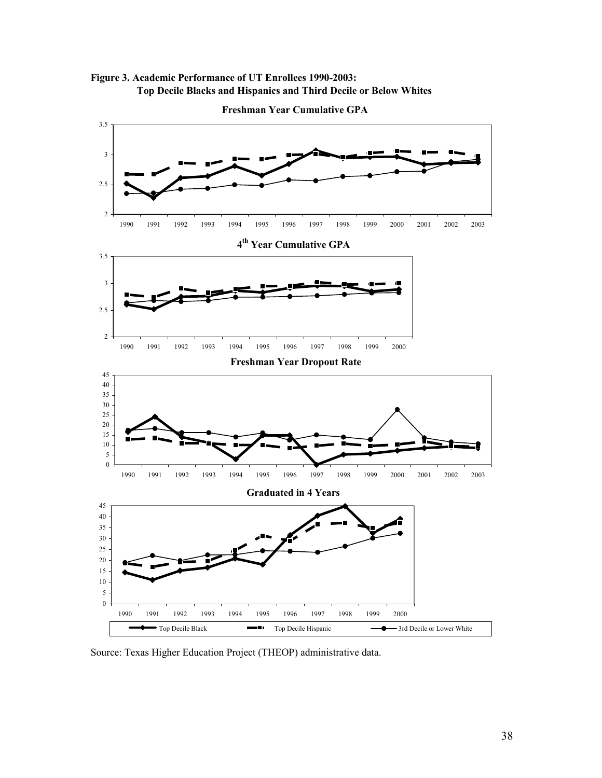Figure 3. Academic Performance of UT Enrollees 1990-2003: Top Decile Blacks and Hispanics and Third Decile or Below Whites

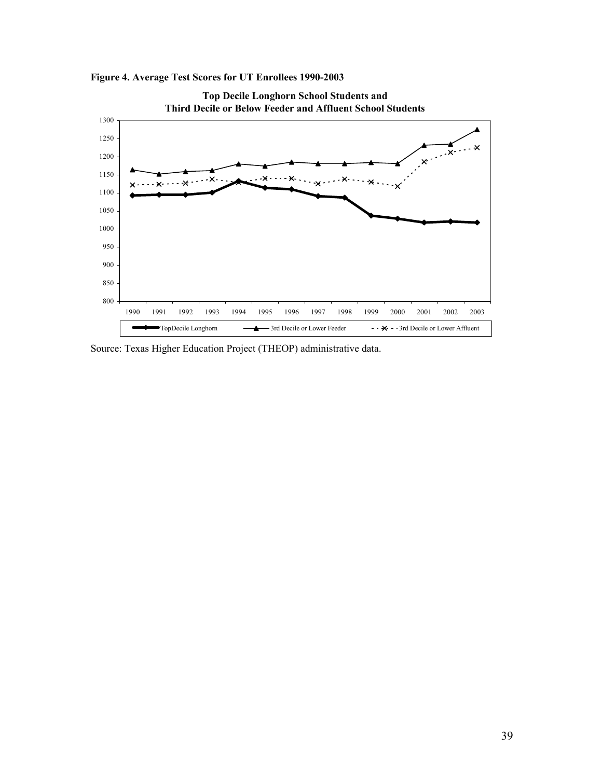

Figure 4. Average Test Scores for UT Enrollees 1990-2003

Source: Texas Higher Education Project (THEOP) administrative data.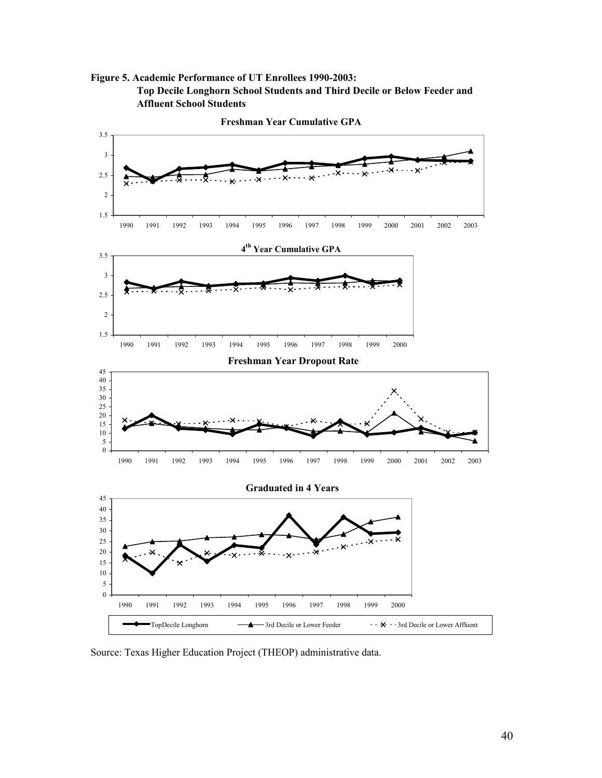Figure 5. Academic Performance of UT Enrollees 1990-2003: Top Decile Longhorn School Students and Third Decile or Below Feeder and Affluent School Students

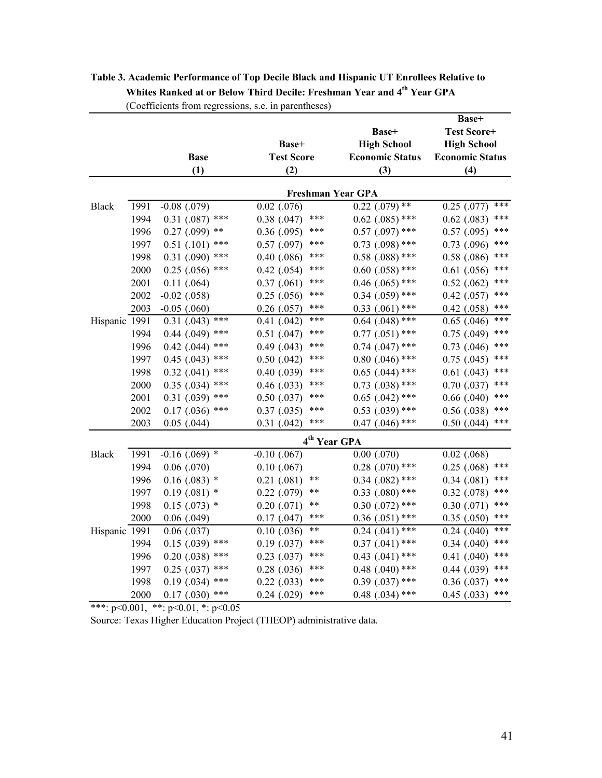|               |      |                      |                       |                            | Base+                    |
|---------------|------|----------------------|-----------------------|----------------------------|--------------------------|
|               |      |                      |                       | Base+                      | <b>Test Score+</b>       |
|               |      |                      | Base+                 | <b>High School</b>         | <b>High School</b>       |
|               |      | <b>Base</b>          | <b>Test Score</b>     | <b>Economic Status</b>     | <b>Economic Status</b>   |
|               |      | (1)                  | (2)                   | (3)                        | (4)                      |
|               |      |                      |                       |                            |                          |
|               |      |                      |                       | <b>Freshman Year GPA</b>   |                          |
| <b>Black</b>  | 1991 | $-0.08$ $(.079)$     | $0.02$ $(.076)$       | $0.22$ (.079) **           | $***$<br>$0.25$ $(.077)$ |
|               | 1994 | $0.31$ (.087) ***    | $0.38$ $(.047)$       | ***<br>$0.62$ (.085) ***   | ***<br>$0.62$ (.083)     |
|               | 1996 | $0.27$ (.099) **     | $0.36$ $(.095)$       | ***<br>$0.57$ (.097) ***   | ***<br>0.57(0.095)       |
|               | 1997 | $0.51$ (.101)<br>*** | $0.57$ $(.097)$       | ***<br>$0.73$ $(.098)$ *** | ***<br>$0.73$ $(.096)$   |
|               | 1998 | $0.31$ (.090) ***    | $0.40$ $(.086)$       | ***<br>$0.58$ $(.088)$ *** | ***<br>0.58(.086)        |
|               | 2000 | $0.25$ (.056) ***    | $0.42$ (.054)         | ***<br>$0.60$ $(.058)$ *** | ***<br>$0.61$ $(.056)$   |
|               | 2001 | 0.11(0.064)          | 0.37(0.061)           | ***<br>$0.46$ (.065) ***   | ***<br>0.52(0.062)       |
|               | 2002 | $-0.02$ (.058)       | $0.25$ (.056)         | ***<br>$0.34$ $(.059)$ *** | ***<br>$0.42$ (.057)     |
|               | 2003 | $-0.05$ $(.060)$     | $0.26$ $(.057)$       | ***<br>$0.33$ $(.061)$ *** | ***<br>$0.42$ $(.058)$   |
| Hispanic 1991 |      | $0.31$ (.043) ***    | $0.41$ $(.042)$       | ***<br>$0.64$ $(.048)$ *** | $***$<br>$0.65$ $(.046)$ |
|               | 1994 | $0.44$ $(.049)$ ***  | $0.51$ $(.047)$       | ***<br>$0.77$ $(.051)$ *** | ***<br>$0.75$ $(.049)$   |
|               | 1996 | $0.42$ (.044) ***    | $0.49$ (.043)         | ***<br>$0.74$ $(.047)$ *** | ***<br>$0.73$ $(.046)$   |
|               | 1997 | $0.45$ (.043) ***    | $0.50$ $(.042)$       | ***<br>$0.80$ $(.046)$ *** | ***<br>$0.75$ $(.045)$   |
|               | 1998 | $0.32$ (.041) ***    | $0.40$ $(.039)$       | ***<br>$0.65$ $(.044)$ *** | ***<br>$0.61$ (.043)     |
|               | 2000 | $0.35$ (.034) ***    | $0.46$ $(.033)$       | ***<br>$0.73$ $(.038)$ *** | ***<br>$0.70$ $(.037)$   |
|               | 2001 | $0.31$ $(.039)$ ***  | $0.50$ $(.037)$       | ***<br>$0.65$ $(.042)$ *** | ***<br>$0.66$ $(.040)$   |
|               | 2002 | $0.17$ (.036) ***    | 0.37(0.035)           | ***<br>$0.53$ $(.039)$ *** | ***<br>0.56(0.038)       |
|               | 2003 | $0.05$ $(.044)$      | $0.31$ $(.042)$       | ***<br>$0.47$ (.046) ***   | ***<br>$0.50$ $(.044)$   |
|               |      |                      |                       | 4 <sup>th</sup> Year GPA   |                          |
| <b>Black</b>  | 1991 | $-0.16$ (.069) *     | $-0.10$ $(.067)$      | $0.00$ $(.070)$            | $0.02$ $(.068)$          |
|               | 1994 | $0.06$ $(.070)$      | $0.10$ (.067)         | $0.28$ (.070) ***          | ***<br>$0.25$ (.068)     |
|               | 1996 | $0.16(.083)$ *       | **<br>$0.21$ $(.081)$ | $0.34$ $(.082)$ ***        | ***<br>0.34(0.081)       |
|               | 1997 | $0.19(.081)$ *       | **<br>$0.22$ $(.079)$ | $0.33$ $(.080)$ ***        | ***<br>$0.32$ $(.078)$   |
|               | 1998 | $0.15(.073)$ *       | **<br>$0.20$ $(.071)$ | $0.30$ $(.072)$ ***        | ***<br>$0.30$ $(.071)$   |
|               | 2000 | $0.06$ $(.049)$      | 0.17(0.047)           | ***<br>$0.36$ $(.051)$ *** | ***<br>0.35(0.050)       |
| Hispanic 1991 |      | 0.06(0.037)          | **<br>$0.10$ $(.036)$ | $0.24$ (.041) ***          | ***<br>$0.24$ $(.040)$   |
|               | 1994 | $0.15$ (.039) ***    | 0.19(0.037)           | ***<br>$0.37$ $(.041)$ *** | ***<br>0.34(0.040)       |
|               | 1996 | $0.20$ $(.038)$ ***  | $0.23$ $(.037)$       | ***<br>$0.43$ $(.041)$ *** | ***<br>$0.41$ $(.040)$   |
|               | 1997 | $0.25$ (.037) ***    | $0.28$ $(.036)$       | ***<br>$0.48$ $(.040)$ *** | ***<br>$0.44$ $(.039)$   |
|               | 1998 | $0.19$ $(.034)$ ***  | $0.22$ (.033)         | ***<br>$0.39$ $(.037)$ *** | ***<br>$0.36$ $(.037)$   |
|               | 2000 | $0.17(.030)$ ***     | $0.24$ $(.029)$       | ***<br>$0.48$ (.034) ***   | $***$<br>$0.45$ (.033)   |

# Table 3. Academic Performance of Top Decile Black and Hispanic UT Enrollees Relative to Whites Ranked at or Below Third Decile: Freshman Year and 4<sup>th</sup> Year GPA (Coefficients from regressions, s.e. in parentheses)

\*\*\*:  $p \le 0.001$ , \*\*:  $p \le 0.01$ , \*:  $p \le 0.05$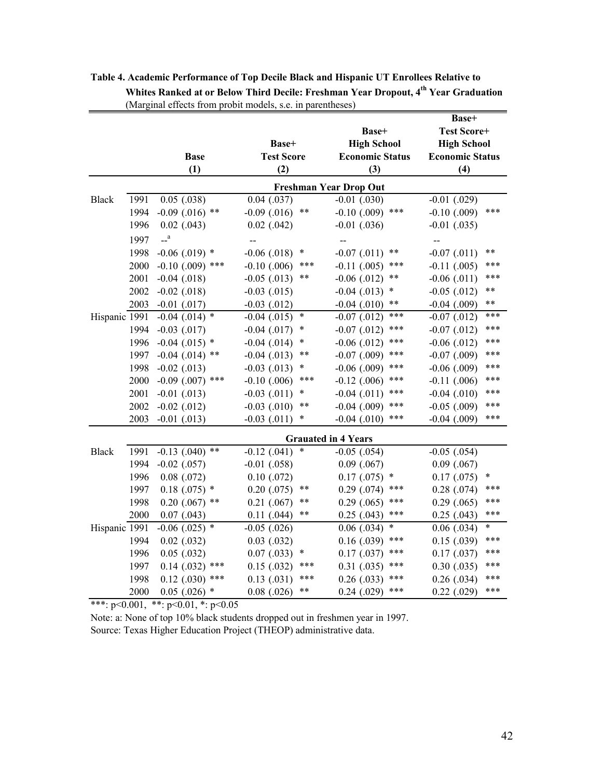|               |      |                    |                           |                               | Base+                     |
|---------------|------|--------------------|---------------------------|-------------------------------|---------------------------|
|               |      |                    |                           | Base+                         | <b>Test Score+</b>        |
|               |      |                    | Base+                     | <b>High School</b>            | <b>High School</b>        |
|               |      | <b>Base</b>        | <b>Test Score</b>         | <b>Economic Status</b>        | <b>Economic Status</b>    |
|               |      | (1)                | (2)                       | (3)                           | (4)                       |
|               |      |                    |                           | <b>Freshman Year Drop Out</b> |                           |
| <b>Black</b>  | 1991 | $0.05$ $(.038)$    | $0.04$ $(.037)$           | $-0.01$ $(.030)$              | $-0.01$ $(.029)$          |
|               | 1994 | $-0.09$ (.016) **  | $-0.09$ $(.016)$<br>**    | $-0.10$ (.009)<br>***         | ***<br>$-0.10$ $(.009)$   |
|               | 1996 | $0.02$ (.043)      | $0.02$ (.042)             | $-0.01$ $(.036)$              | $-0.01$ $(.035)$          |
|               | 1997 | $-$ <sup>a</sup>   | $\overline{a}$            | --                            | --                        |
|               | 1998 | $-0.06$ (.019) $*$ | $-0.06$ $(.018)$<br>*     | $-0.07$ $(.011)$<br>**        | **<br>$-0.07$ $(.011)$    |
|               | 2000 | $-0.10$ (.009) *** | ***<br>$-0.10$ $(.006)$   | $-0.11$ $(.005)$<br>***       | ***<br>$-0.11$ $(.005)$   |
|               | 2001 | $-0.04$ $(.018)$   | $-0.05$ (.013)<br>**      | $-0.06$ $(.012)$<br>**        | ***<br>$-0.06$ $(.011)$   |
|               | 2002 | $-0.02$ (.018)     | $-0.03$ $(.015)$          | *<br>$-0.04$ $(.013)$         | **<br>$-0.05$ $(.012)$    |
|               | 2003 | $-0.01$ $(.017)$   | $-0.03$ $(.012)$          | **<br>$-0.04$ $(.010)$        | **<br>$-0.04$ $(.009)$    |
| Hispanic 1991 |      | $-0.04$ (.014) *   | *<br>$-0.04$ $(.015)$     | ***<br>$-0.07$ $(.012)$       | ***<br>$-0.07$ $(.012)$   |
|               | 1994 | $-0.03$ $(.017)$   | *<br>$-0.04$ $(.017)$     | ***<br>$-0.07$ $(.012)$       | ***<br>$-0.07$ $(.012)$   |
|               | 1996 | $-0.04$ (.015) *   | *<br>$-0.04$ $(.014)$     | $-0.06$ $(.012)$<br>***       | ***<br>$-0.06$ $(.012)$   |
|               | 1997 | $-0.04$ (.014) **  | $***$<br>$-0.04$ (.013)   | ***<br>$-0.07$ $(.009)$       | ***<br>$-0.07$ $(.009)$   |
|               | 1998 | $-0.02$ (.013)     | *<br>$-0.03$ $(.013)$     | ***<br>$-0.06$ $(.009)$       | ***<br>$-0.06$ $(.009)$   |
|               | 2000 | $-0.09$ (.007) *** | ***<br>$-0.10$ $(.006)$   | ***<br>$-0.12$ (.006)         | ***<br>$-0.11$ $(.006)$   |
|               | 2001 | $-0.01$ $(.013)$   | *<br>$-0.03$ $(.011)$     | ***<br>$-0.04$ $(.011)$       | ***<br>$-0.04$ $(.010)$   |
|               | 2002 | $-0.02$ (.012)     | $***$<br>$-0.03$ $(.010)$ | ***<br>$-0.04$ $(.009)$       | ***<br>$-0.05$ $(.009)$   |
|               | 2003 | $-0.01$ $(.013)$   | $-0.03$ $(.011)$<br>*     | ***<br>$-0.04$ $(.010)$       | ***<br>$-0.04$ $(.009)$   |
|               |      |                    |                           | <b>Grauated in 4 Years</b>    |                           |
| <b>Black</b>  | 1991 | $-0.13$ (.040) **  | $-0.12$ (.041)<br>$\ast$  | $-0.05$ $(.054)$              | $-0.05$ $(.054)$          |
|               | 1994 | $-0.02$ (.057)     | $-0.01$ $(.058)$          | $0.09$ $(.067)$               | $0.09$ $(.067)$           |
|               | 1996 | $0.08$ $(.072)$    | $0.10$ $(.072)$           | *<br>0.17(0.075)              | *<br>0.17(0.075)          |
|               | 1997 | $0.18(.075)$ *     | **<br>$0.20$ $(.075)$     | ***<br>$0.29$ $(.074)$        | ***<br>$0.28$ $(.074)$    |
|               | 1998 | $0.20$ (.067) **   | **<br>$0.21$ $(.067)$     | ***<br>$0.29$ $(.065)$        | ***<br>$0.29$ $(.065)$    |
|               | 2000 | $0.07$ $(.043)$    | **<br>$0.11$ $(.044)$     | ***<br>$0.25$ (.043)          | ***<br>$0.25$ $(.043)$    |
| Hispanic 1991 |      | $-0.06$ (.025) *   | $-0.05$ $(.026)$          | *<br>$0.06$ $(.034)$          | $\ast$<br>$0.06$ $(.034)$ |
|               | 1994 | $0.02$ (.032)      | 0.03(0.032)               | ***<br>0.16(0.039)            | ***<br>0.15(0.039)        |
|               | 1996 | $0.05$ $(.032)$    | $\ast$<br>0.07(0.033)     | ***<br>0.17(0.037)            | ***<br>0.17(0.037)        |
|               | 1997 | $0.14$ (.032) ***  | ***<br>0.15(0.032)        | 0.31(0.035)<br>***            | ***<br>$0.30$ $(.035)$    |
|               | 1998 | $0.12$ (.030) ***  | ***<br>0.13(0.031)        | ***<br>$0.26$ $(.033)$        | ***<br>$0.26$ $(.034)$    |
|               | 2000 | $0.05$ (.026) $*$  | $0.08$ $(.026)$<br>**     | ***<br>$0.24$ $(.029)$        | ***<br>$0.22$ $(.029)$    |

Table 4. Academic Performance of Top Decile Black and Hispanic UT Enrollees Relative to Whites Ranked at or Below Third Decile: Freshman Year Dropout, 4<sup>th</sup> Year Graduation (Marginal effects from probit models, s.e. in parentheses)

\*\*\*:  $p<0.001$ , \*\*:  $p<0.01$ , \*:  $p<0.05$ 

Note: a: None of top 10% black students dropped out in freshmen year in 1997. Source: Texas Higher Education Project (THEOP) administrative data.